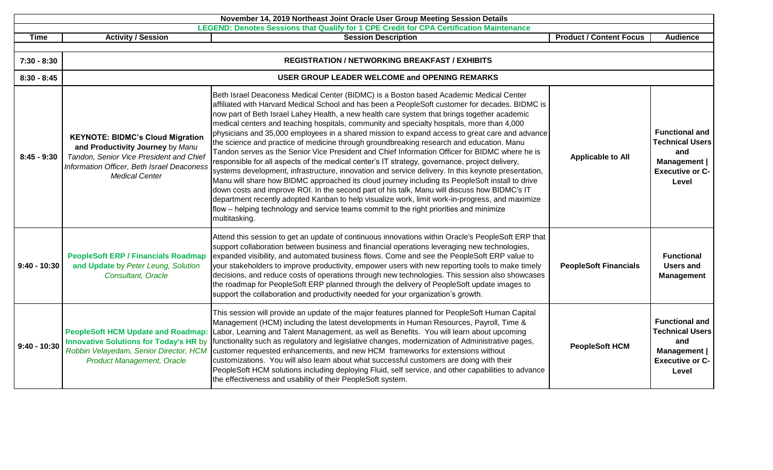| November 14, 2019 Northeast Joint Oracle User Group Meeting Session Details |                                                                                                                                                                                               |                                                                                                                                                                                                                                                                                                                                                                                                                                                                                                                                                                                                                                                                                                                                                                                                                                                                                                                                                                                                                                                                                                                                                                                                                                                                                                                     |                                |                                                                                                           |  |
|-----------------------------------------------------------------------------|-----------------------------------------------------------------------------------------------------------------------------------------------------------------------------------------------|---------------------------------------------------------------------------------------------------------------------------------------------------------------------------------------------------------------------------------------------------------------------------------------------------------------------------------------------------------------------------------------------------------------------------------------------------------------------------------------------------------------------------------------------------------------------------------------------------------------------------------------------------------------------------------------------------------------------------------------------------------------------------------------------------------------------------------------------------------------------------------------------------------------------------------------------------------------------------------------------------------------------------------------------------------------------------------------------------------------------------------------------------------------------------------------------------------------------------------------------------------------------------------------------------------------------|--------------------------------|-----------------------------------------------------------------------------------------------------------|--|
|                                                                             | <b>Activity / Session</b>                                                                                                                                                                     | LEGEND: Denotes Sessions that Qualify for 1 CPE Credit for CPA Certification Maintenance                                                                                                                                                                                                                                                                                                                                                                                                                                                                                                                                                                                                                                                                                                                                                                                                                                                                                                                                                                                                                                                                                                                                                                                                                            | <b>Product / Content Focus</b> | <b>Audience</b>                                                                                           |  |
| <b>Time</b>                                                                 |                                                                                                                                                                                               | <b>Session Description</b>                                                                                                                                                                                                                                                                                                                                                                                                                                                                                                                                                                                                                                                                                                                                                                                                                                                                                                                                                                                                                                                                                                                                                                                                                                                                                          |                                |                                                                                                           |  |
| $7:30 - 8:30$                                                               |                                                                                                                                                                                               | <b>REGISTRATION / NETWORKING BREAKFAST / EXHIBITS</b>                                                                                                                                                                                                                                                                                                                                                                                                                                                                                                                                                                                                                                                                                                                                                                                                                                                                                                                                                                                                                                                                                                                                                                                                                                                               |                                |                                                                                                           |  |
| $8:30 - 8:45$                                                               |                                                                                                                                                                                               | USER GROUP LEADER WELCOME and OPENING REMARKS                                                                                                                                                                                                                                                                                                                                                                                                                                                                                                                                                                                                                                                                                                                                                                                                                                                                                                                                                                                                                                                                                                                                                                                                                                                                       |                                |                                                                                                           |  |
| $8:45 - 9:30$                                                               | <b>KEYNOTE: BIDMC's Cloud Migration</b><br>and Productivity Journey by Manu<br>Tandon, Senior Vice President and Chief<br>Information Officer, Beth Israel Deaconess<br><b>Medical Center</b> | Beth Israel Deaconess Medical Center (BIDMC) is a Boston based Academic Medical Center<br>affiliated with Harvard Medical School and has been a PeopleSoft customer for decades. BIDMC is<br>now part of Beth Israel Lahey Health, a new health care system that brings together academic<br>medical centers and teaching hospitals, community and specialty hospitals, more than 4,000<br>physicians and 35,000 employees in a shared mission to expand access to great care and advance<br>the science and practice of medicine through groundbreaking research and education. Manu<br>Tandon serves as the Senior Vice President and Chief Information Officer for BIDMC where he is<br>responsible for all aspects of the medical center's IT strategy, governance, project delivery,<br>systems development, infrastructure, innovation and service delivery. In this keynote presentation,<br>Manu will share how BIDMC approached its cloud journey including its PeopleSoft install to drive<br>down costs and improve ROI. In the second part of his talk, Manu will discuss how BIDMC's IT<br>department recently adopted Kanban to help visualize work, limit work-in-progress, and maximize<br>flow – helping technology and service teams commit to the right priorities and minimize<br>multitasking. | <b>Applicable to All</b>       | <b>Functional and</b><br><b>Technical Users</b><br>and<br>Management  <br><b>Executive or C-</b><br>Level |  |
| $9:40 - 10:30$                                                              | <b>PeopleSoft ERP / Financials Roadmap</b><br>and Update by Peter Leung, Solution<br>Consultant, Oracle                                                                                       | Attend this session to get an update of continuous innovations within Oracle's PeopleSoft ERP that<br>support collaboration between business and financial operations leveraging new technologies,<br>expanded visibility, and automated business flows. Come and see the PeopleSoft ERP value to<br>your stakeholders to improve productivity, empower users with new reporting tools to make timely<br>decisions, and reduce costs of operations through new technologies. This session also showcases<br>the roadmap for PeopleSoft ERP planned through the delivery of PeopleSoft update images to<br>support the collaboration and productivity needed for your organization's growth.                                                                                                                                                                                                                                                                                                                                                                                                                                                                                                                                                                                                                         | <b>PeopleSoft Financials</b>   | <b>Functional</b><br><b>Users and</b><br><b>Management</b>                                                |  |
| $9:40 - 10:30$                                                              | <b>Innovative Solutions for Today's HR by</b><br><b>Product Management, Oracle</b>                                                                                                            | This session will provide an update of the major features planned for PeopleSoft Human Capital<br>Management (HCM) including the latest developments in Human Resources, Payroll, Time &<br>PeopleSoft HCM Update and Roadmap: Labor, Learning and Talent Management, as well as Benefits. You will learn about upcoming<br>functionality such as regulatory and legislative changes, modernization of Administrative pages,<br>Robbin Velayedam, Senior Director, HCM customer requested enhancements, and new HCM frameworks for extensions without<br>customizations. You will also learn about what successful customers are doing with their<br>PeopleSoft HCM solutions including deploying Fluid, self service, and other capabilities to advance<br>the effectiveness and usability of their PeopleSoft system.                                                                                                                                                                                                                                                                                                                                                                                                                                                                                             | <b>PeopleSoft HCM</b>          | <b>Functional and</b><br><b>Technical Users</b><br>and<br>Management  <br><b>Executive or C-</b><br>Level |  |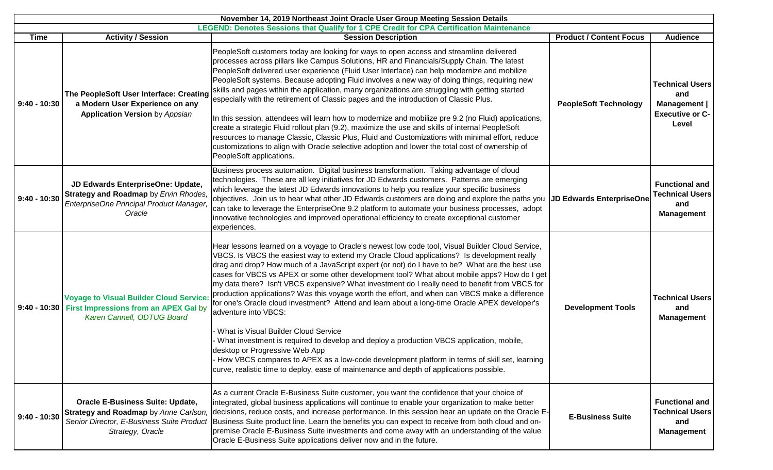|                |                                                                                                                                      | LEGEND: Denotes Sessions that Qualify for 1 CPE Credit for CPA Certification Maintenance                                                                                                                                                                                                                                                                                                                                                                                                                                                                                                                                                                                                                                                                                                                                                                                                                                                                                                                                                                                                        |                                 |                                                                                  |
|----------------|--------------------------------------------------------------------------------------------------------------------------------------|-------------------------------------------------------------------------------------------------------------------------------------------------------------------------------------------------------------------------------------------------------------------------------------------------------------------------------------------------------------------------------------------------------------------------------------------------------------------------------------------------------------------------------------------------------------------------------------------------------------------------------------------------------------------------------------------------------------------------------------------------------------------------------------------------------------------------------------------------------------------------------------------------------------------------------------------------------------------------------------------------------------------------------------------------------------------------------------------------|---------------------------------|----------------------------------------------------------------------------------|
| <b>Time</b>    | <b>Activity / Session</b>                                                                                                            | <b>Session Description</b>                                                                                                                                                                                                                                                                                                                                                                                                                                                                                                                                                                                                                                                                                                                                                                                                                                                                                                                                                                                                                                                                      | <b>Product / Content Focus</b>  | <b>Audience</b>                                                                  |
| $9:40 - 10:30$ | The PeopleSoft User Interface: Creating<br>a Modern User Experience on any<br><b>Application Version by Appsian</b>                  | PeopleSoft customers today are looking for ways to open access and streamline delivered<br>processes across pillars like Campus Solutions, HR and Financials/Supply Chain. The latest<br>PeopleSoft delivered user experience (Fluid User Interface) can help modernize and mobilize<br>PeopleSoft systems. Because adopting Fluid involves a new way of doing things, requiring new<br>skills and pages within the application, many organizations are struggling with getting started<br>especially with the retirement of Classic pages and the introduction of Classic Plus.<br>In this session, attendees will learn how to modernize and mobilize pre 9.2 (no Fluid) applications,<br>create a strategic Fluid rollout plan (9.2), maximize the use and skills of internal PeopleSoft<br>resources to manage Classic, Classic Plus, Fluid and Customizations with minimal effort, reduce<br>customizations to align with Oracle selective adoption and lower the total cost of ownership of<br>PeopleSoft applications.                                                                   | <b>PeopleSoft Technology</b>    | <b>Technical Users</b><br>and<br>Management  <br><b>Executive or C-</b><br>Level |
| $9:40 - 10:30$ | JD Edwards EnterpriseOne: Update,<br>Strategy and Roadmap by Ervin Rhodes,<br>EnterpriseOne Principal Product Manager,<br>Oracle     | Business process automation. Digital business transformation. Taking advantage of cloud<br>technologies. These are all key initiatives for JD Edwards customers. Patterns are emerging<br>which leverage the latest JD Edwards innovations to help you realize your specific business<br>objectives. Join us to hear what other JD Edwards customers are doing and explore the paths you<br>can take to leverage the EnterpriseOne 9.2 platform to automate your business processes, adopt<br>innovative technologies and improved operational efficiency to create exceptional customer<br>experiences.                                                                                                                                                                                                                                                                                                                                                                                                                                                                                        | <b>JD Edwards EnterpriseOne</b> | <b>Functional and</b><br><b>Technical Users</b><br>and<br><b>Management</b>      |
|                | <b>Voyage to Visual Builder Cloud Service:</b><br>9:40 - 10:30   First Impressions from an APEX Gal by<br>Karen Cannell, ODTUG Board | Hear lessons learned on a voyage to Oracle's newest low code tool, Visual Builder Cloud Service,<br>VBCS. Is VBCS the easiest way to extend my Oracle Cloud applications? Is development really<br>drag and drop? How much of a JavaScript expert (or not) do I have to be? What are the best use<br>cases for VBCS vs APEX or some other development tool? What about mobile apps? How do I get<br>my data there? Isn't VBCS expensive? What investment do I really need to benefit from VBCS for<br>production applications? Was this voyage worth the effort, and when can VBCS make a difference<br>for one's Oracle cloud investment? Attend and learn about a long-time Oracle APEX developer's<br>adventure into VBCS:<br>What is Visual Builder Cloud Service<br>What investment is required to develop and deploy a production VBCS application, mobile,<br>desktop or Progressive Web App<br>How VBCS compares to APEX as a low-code development platform in terms of skill set, learning<br>curve, realistic time to deploy, ease of maintenance and depth of applications possible. | <b>Development Tools</b>        | <b>Technical Users</b><br>and<br><b>Management</b>                               |
| $9:40 - 10:30$ | <b>Oracle E-Business Suite: Update,</b><br>Strategy, Oracle                                                                          | As a current Oracle E-Business Suite customer, you want the confidence that your choice of<br>integrated, global business applications will continue to enable your organization to make better<br>Strategy and Roadmap by Anne Carlson, decisions, reduce costs, and increase performance. In this session hear an update on the Oracle E-<br>Senior Director, E-Business Suite Product Business Suite product line. Learn the benefits you can expect to receive from both cloud and on-<br>premise Oracle E-Business Suite investments and come away with an understanding of the value<br>Oracle E-Business Suite applications deliver now and in the future.                                                                                                                                                                                                                                                                                                                                                                                                                               | <b>E-Business Suite</b>         | <b>Functional and</b><br><b>Technical Users</b><br>and<br><b>Management</b>      |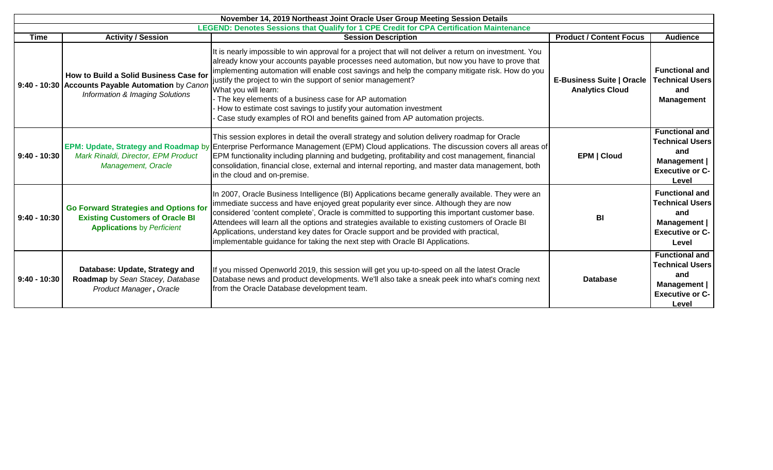|                | November 14, 2019 Northeast Joint Oracle User Group Meeting Session Details                                                    |                                                                                                                                                                                                                                                                                                                                                                                                                                                                                                                                                                                                                    |                                                            |                                                                                                                  |  |
|----------------|--------------------------------------------------------------------------------------------------------------------------------|--------------------------------------------------------------------------------------------------------------------------------------------------------------------------------------------------------------------------------------------------------------------------------------------------------------------------------------------------------------------------------------------------------------------------------------------------------------------------------------------------------------------------------------------------------------------------------------------------------------------|------------------------------------------------------------|------------------------------------------------------------------------------------------------------------------|--|
|                |                                                                                                                                | LEGEND: Denotes Sessions that Qualify for 1 CPE Credit for CPA Certification Maintenance                                                                                                                                                                                                                                                                                                                                                                                                                                                                                                                           |                                                            |                                                                                                                  |  |
| <b>Time</b>    | <b>Activity / Session</b>                                                                                                      | <b>Session Description</b>                                                                                                                                                                                                                                                                                                                                                                                                                                                                                                                                                                                         | <b>Product / Content Focus</b>                             | <b>Audience</b>                                                                                                  |  |
|                | How to Build a Solid Business Case for<br>9:40 - 10:30 Accounts Payable Automation by Canon<br>Information & Imaging Solutions | It is nearly impossible to win approval for a project that will not deliver a return on investment. You<br>already know your accounts payable processes need automation, but now you have to prove that<br>implementing automation will enable cost savings and help the company mitigate risk. How do you<br>justify the project to win the support of senior management?<br>What you will learn:<br>- The key elements of a business case for AP automation<br>How to estimate cost savings to justify your automation investment<br>Case study examples of ROI and benefits gained from AP automation projects. | <b>E-Business Suite   Oracle</b><br><b>Analytics Cloud</b> | <b>Functional and</b><br><b>Technical Users</b><br>and<br><b>Management</b>                                      |  |
| $9:40 - 10:30$ | Mark Rinaldi, Director, EPM Product<br>Management, Oracle                                                                      | This session explores in detail the overall strategy and solution delivery roadmap for Oracle<br>EPM: Update, Strategy and Roadmap by Enterprise Performance Management (EPM) Cloud applications. The discussion covers all areas of<br>EPM functionality including planning and budgeting, profitability and cost management, financial<br>consolidation, financial close, external and internal reporting, and master data management, both<br>in the cloud and on-premise.                                                                                                                                      | <b>EPM   Cloud</b>                                         | <b>Functional and</b><br><b>Technical Users</b><br>and<br><b>Management</b>  <br><b>Executive or C-</b><br>Level |  |
| $9:40 - 10:30$ | <b>Go Forward Strategies and Options for</b><br><b>Existing Customers of Oracle BI</b><br><b>Applications</b> by Perficient    | In 2007, Oracle Business Intelligence (BI) Applications became generally available. They were an<br>immediate success and have enjoyed great popularity ever since. Although they are now<br>considered 'content complete', Oracle is committed to supporting this important customer base.<br>Attendees will learn all the options and strategies available to existing customers of Oracle BI<br>Applications, understand key dates for Oracle support and be provided with practical,<br>implementable guidance for taking the next step with Oracle BI Applications.                                           | BI                                                         | <b>Functional and</b><br><b>Technical Users</b><br>and<br><b>Management</b>  <br><b>Executive or C-</b><br>Level |  |
| $9:40 - 10:30$ | Database: Update, Strategy and<br>Roadmap by Sean Stacey, Database<br>Product Manager, Oracle                                  | If you missed Openworld 2019, this session will get you up-to-speed on all the latest Oracle<br>Database news and product developments. We'll also take a sneak peek into what's coming next<br>from the Oracle Database development team.                                                                                                                                                                                                                                                                                                                                                                         | <b>Database</b>                                            | <b>Functional and</b><br><b>Technical Users</b><br>and<br>Management  <br><b>Executive or C-</b><br>Level        |  |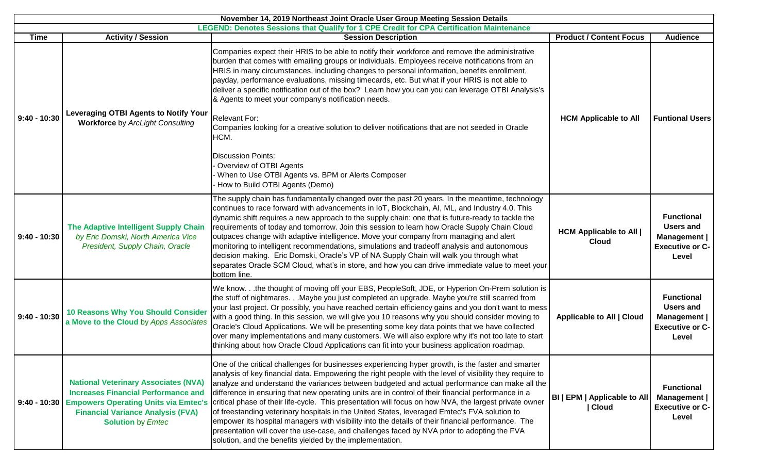| November 14, 2019 Northeast Joint Oracle User Group Meeting Session Details                                                                                                                          |                                                                                                                                                                   |                                                                                                                                                                                                                                                                                                                                                                                                                                                                                                                                                                                                                                                                                                                                                                                                                                                                                                                                        |                                                |                                                                                          |
|------------------------------------------------------------------------------------------------------------------------------------------------------------------------------------------------------|-------------------------------------------------------------------------------------------------------------------------------------------------------------------|----------------------------------------------------------------------------------------------------------------------------------------------------------------------------------------------------------------------------------------------------------------------------------------------------------------------------------------------------------------------------------------------------------------------------------------------------------------------------------------------------------------------------------------------------------------------------------------------------------------------------------------------------------------------------------------------------------------------------------------------------------------------------------------------------------------------------------------------------------------------------------------------------------------------------------------|------------------------------------------------|------------------------------------------------------------------------------------------|
| LEGEND: Denotes Sessions that Qualify for 1 CPE Credit for CPA Certification Maintenance<br><b>Product / Content Focus</b><br><b>Activity / Session</b><br><b>Time</b><br><b>Session Description</b> |                                                                                                                                                                   |                                                                                                                                                                                                                                                                                                                                                                                                                                                                                                                                                                                                                                                                                                                                                                                                                                                                                                                                        |                                                |                                                                                          |
| $9:40 - 10:30$                                                                                                                                                                                       | <b>Leveraging OTBI Agents to Notify Your</b><br><b>Workforce by ArcLight Consulting</b>                                                                           | Companies expect their HRIS to be able to notify their workforce and remove the administrative<br>burden that comes with emailing groups or individuals. Employees receive notifications from an<br>HRIS in many circumstances, including changes to personal information, benefits enrollment,<br>payday, performance evaluations, missing timecards, etc. But what if your HRIS is not able to<br>deliver a specific notification out of the box? Learn how you can you can leverage OTBI Analysis's<br>& Agents to meet your company's notification needs.<br><b>Relevant For:</b><br>Companies looking for a creative solution to deliver notifications that are not seeded in Oracle<br>HCM.<br><b>Discussion Points:</b><br>Overview of OTBI Agents<br>When to Use OTBI Agents vs. BPM or Alerts Composer<br>How to Build OTBI Agents (Demo)                                                                                     | <b>HCM Applicable to All</b>                   | <b>Audience</b><br><b>Funtional Users</b>                                                |
| $9:40 - 10:30$                                                                                                                                                                                       | The Adaptive Intelligent Supply Chain<br>by Eric Domski, North America Vice<br>President, Supply Chain, Oracle                                                    | The supply chain has fundamentally changed over the past 20 years. In the meantime, technology<br>continues to race forward with advancements in IoT, Blockchain, AI, ML, and Industry 4.0. This<br>dynamic shift requires a new approach to the supply chain: one that is future-ready to tackle the<br>requirements of today and tomorrow. Join this session to learn how Oracle Supply Chain Cloud<br>outpaces change with adaptive intelligence. Move your company from managing and alert<br>monitoring to intelligent recommendations, simulations and tradeoff analysis and autonomous<br>decision making. Eric Domski, Oracle's VP of NA Supply Chain will walk you through what<br>separates Oracle SCM Cloud, what's in store, and how you can drive immediate value to meet your<br>bottom line.                                                                                                                            | <b>HCM Applicable to All  </b><br><b>Cloud</b> | <b>Functional</b><br><b>Users and</b><br>Management  <br><b>Executive or C-</b><br>Level |
| $9:40 - 10:30$                                                                                                                                                                                       | <b>10 Reasons Why You Should Consider</b><br>a Move to the Cloud by Apps Associates                                                                               | We know.the thought of moving off your EBS, PeopleSoft, JDE, or Hyperion On-Prem solution is<br>the stuff of nightmares. Maybe you just completed an upgrade. Maybe you're still scarred from<br>your last project. Or possibly, you have reached certain efficiency gains and you don't want to mess<br>with a good thing. In this session, we will give you 10 reasons why you should consider moving to<br>Oracle's Cloud Applications. We will be presenting some key data points that we have collected<br>over many implementations and many customers. We will also explore why it's not too late to start<br>thinking about how Oracle Cloud Applications can fit into your business application roadmap.                                                                                                                                                                                                                      | Applicable to All   Cloud                      | <b>Functional</b><br><b>Users and</b><br>Management  <br><b>Executive or C-</b><br>Level |
| $9:40 - 10:30$                                                                                                                                                                                       | <b>National Veterinary Associates (NVA)</b><br><b>Increases Financial Performance and</b><br><b>Financial Variance Analysis (FVA)</b><br><b>Solution by Emtec</b> | One of the critical challenges for businesses experiencing hyper growth, is the faster and smarter<br>analysis of key financial data. Empowering the right people with the level of visibility they require to<br>analyze and understand the variances between budgeted and actual performance can make all the<br>difference in ensuring that new operating units are in control of their financial performance in a<br>Empowers Operating Units via Emtec's critical phase of their life-cycle. This presentation will focus on how NVA, the largest private owner<br>of freestanding veterinary hospitals in the United States, leveraged Emtec's FVA solution to<br>empower its hospital managers with visibility into the details of their financial performance. The<br>presentation will cover the use-case, and challenges faced by NVA prior to adopting the FVA<br>solution, and the benefits yielded by the implementation. | <b>BI   EPM   Applicable to All</b><br>  Cloud | <b>Functional</b><br>Management  <br><b>Executive or C-</b><br>Level                     |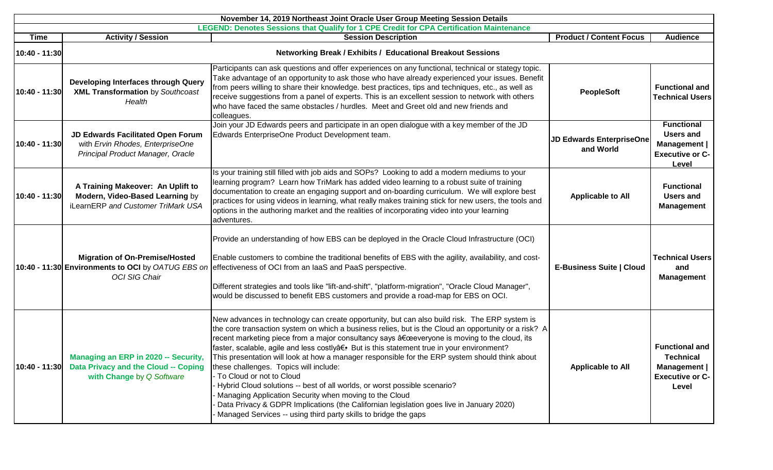| November 14, 2019 Northeast Joint Oracle User Group Meeting Session Details |                                                                                                                    |                                                                                                                                                                                                                                                                                                                                                                                                                                                                                                                                                                                                                                                                                                                                                                                                                                                                                   |                                       |                                                                                          |  |  |
|-----------------------------------------------------------------------------|--------------------------------------------------------------------------------------------------------------------|-----------------------------------------------------------------------------------------------------------------------------------------------------------------------------------------------------------------------------------------------------------------------------------------------------------------------------------------------------------------------------------------------------------------------------------------------------------------------------------------------------------------------------------------------------------------------------------------------------------------------------------------------------------------------------------------------------------------------------------------------------------------------------------------------------------------------------------------------------------------------------------|---------------------------------------|------------------------------------------------------------------------------------------|--|--|
|                                                                             |                                                                                                                    | LEGEND: Denotes Sessions that Qualify for 1 CPE Credit for CPA Certification Maintenance                                                                                                                                                                                                                                                                                                                                                                                                                                                                                                                                                                                                                                                                                                                                                                                          | <b>Product / Content Focus</b>        |                                                                                          |  |  |
| <b>Time</b>                                                                 | <b>Activity / Session</b>                                                                                          | <b>Session Description</b>                                                                                                                                                                                                                                                                                                                                                                                                                                                                                                                                                                                                                                                                                                                                                                                                                                                        |                                       | <b>Audience</b>                                                                          |  |  |
| 10:40 - 11:30                                                               |                                                                                                                    | Networking Break / Exhibits / Educational Breakout Sessions                                                                                                                                                                                                                                                                                                                                                                                                                                                                                                                                                                                                                                                                                                                                                                                                                       |                                       |                                                                                          |  |  |
| 10:40 - 11:30                                                               | Developing Interfaces through Query<br><b>XML Transformation by Southcoast</b><br>Health                           | Participants can ask questions and offer experiences on any functional, technical or stategy topic.<br>Take advantage of an opportunity to ask those who have already experienced your issues. Benefit<br>from peers willing to share their knowledge. best practices, tips and techniques, etc., as well as<br>receive suggestions from a panel of experts. This is an excellent session to network with others<br>who have faced the same obstacles / hurdles. Meet and Greet old and new friends and<br>colleagues.                                                                                                                                                                                                                                                                                                                                                            | <b>PeopleSoft</b>                     | <b>Functional and</b><br><b>Technical Users</b>                                          |  |  |
| 10:40 - 11:30                                                               | JD Edwards Facilitated Open Forum<br>with Ervin Rhodes, EnterpriseOne<br>Principal Product Manager, Oracle         | Join your JD Edwards peers and participate in an open dialogue with a key member of the JD<br>Edwards EnterpriseOne Product Development team.                                                                                                                                                                                                                                                                                                                                                                                                                                                                                                                                                                                                                                                                                                                                     | JD Edwards EnterpriseOne<br>and World | <b>Functional</b><br><b>Users and</b><br>Management  <br><b>Executive or C-</b><br>Level |  |  |
| 10:40 - 11:30                                                               | A Training Makeover: An Uplift to<br>Modern, Video-Based Learning by<br>iLearnERP and Customer TriMark USA         | Is your training still filled with job aids and SOPs? Looking to add a modern mediums to your<br>learning program? Learn how TriMark has added video learning to a robust suite of training<br>documentation to create an engaging support and on-boarding curriculum. We will explore best<br>practices for using videos in learning, what really makes training stick for new users, the tools and<br>options in the authoring market and the realities of incorporating video into your learning<br>adventures.                                                                                                                                                                                                                                                                                                                                                                | <b>Applicable to All</b>              | <b>Functional</b><br><b>Users and</b><br><b>Management</b>                               |  |  |
|                                                                             | <b>Migration of On-Premise/Hosted</b><br>10:40 - 11:30 Environments to OCI by OATUG EBS on<br><b>OCI SIG Chair</b> | Provide an understanding of how EBS can be deployed in the Oracle Cloud Infrastructure (OCI)<br>Enable customers to combine the traditional benefits of EBS with the agility, availability, and cost-<br>effectiveness of OCI from an laaS and PaaS perspective.<br>Different strategies and tools like "lift-and-shift", "platform-migration", "Oracle Cloud Manager",<br>would be discussed to benefit EBS customers and provide a road-map for EBS on OCI.                                                                                                                                                                                                                                                                                                                                                                                                                     | <b>E-Business Suite   Cloud</b>       | <b>Technical Users</b><br>and<br><b>Management</b>                                       |  |  |
| 10:40 - 11:30                                                               | Managing an ERP in 2020 -- Security,<br>Data Privacy and the Cloud -- Coping<br>with Change by Q Software          | New advances in technology can create opportunity, but can also build risk. The ERP system is<br>the core transaction system on which a business relies, but is the Cloud an opportunity or a risk? A<br>recent marketing piece from a major consultancy says "everyone is moving to the cloud, its<br>faster, scalable, agile and less costlyâ€. But is this statement true in your environment?<br>This presentation will look at how a manager responsible for the ERP system should think about<br>these challenges. Topics will include:<br>- To Cloud or not to Cloud<br>Hybrid Cloud solutions -- best of all worlds, or worst possible scenario?<br>Managing Application Security when moving to the Cloud<br>Data Privacy & GDPR Implications (the Californian legislation goes live in January 2020)<br>Managed Services -- using third party skills to bridge the gaps | <b>Applicable to All</b>              | <b>Functional and</b><br>Technical<br>Management  <br><b>Executive or C-</b><br>Level    |  |  |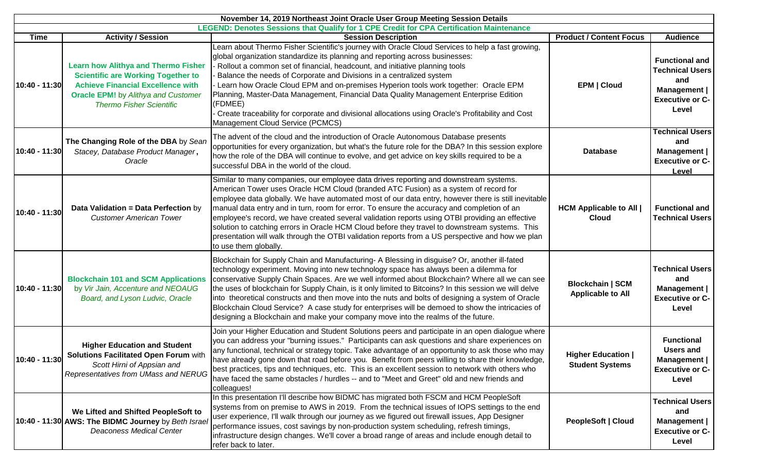| November 14, 2019 Northeast Joint Oracle User Group Meeting Session Details |                                                                                                                                                                                                                      |                                                                                                                                                                                                                                                                                                                                                                                                                                                                                                                                                                                                                                                                                                                     |                                                     |                                                                                                           |
|-----------------------------------------------------------------------------|----------------------------------------------------------------------------------------------------------------------------------------------------------------------------------------------------------------------|---------------------------------------------------------------------------------------------------------------------------------------------------------------------------------------------------------------------------------------------------------------------------------------------------------------------------------------------------------------------------------------------------------------------------------------------------------------------------------------------------------------------------------------------------------------------------------------------------------------------------------------------------------------------------------------------------------------------|-----------------------------------------------------|-----------------------------------------------------------------------------------------------------------|
|                                                                             |                                                                                                                                                                                                                      | LEGEND: Denotes Sessions that Qualify for 1 CPE Credit for CPA Certification Maintenance                                                                                                                                                                                                                                                                                                                                                                                                                                                                                                                                                                                                                            |                                                     |                                                                                                           |
| <b>Time</b>                                                                 | <b>Activity / Session</b>                                                                                                                                                                                            | <b>Session Description</b>                                                                                                                                                                                                                                                                                                                                                                                                                                                                                                                                                                                                                                                                                          | <b>Product / Content Focus</b>                      | <b>Audience</b>                                                                                           |
| 10:40 - 11:30                                                               | <b>Learn how Alithya and Thermo Fisher</b><br><b>Scientific are Working Together to</b><br><b>Achieve Financial Excellence with</b><br><b>Oracle EPM!</b> by Alithya and Customer<br><b>Thermo Fisher Scientific</b> | Learn about Thermo Fisher Scientific's journey with Oracle Cloud Services to help a fast growing,<br>global organization standardize its planning and reporting across businesses:<br>Rollout a common set of financial, headcount, and initiative planning tools<br>Balance the needs of Corporate and Divisions in a centralized system<br>Learn how Oracle Cloud EPM and on-premises Hyperion tools work together: Oracle EPM<br>Planning, Master-Data Management, Financial Data Quality Management Enterprise Edition<br>(FDMEE)<br>Create traceability for corporate and divisional allocations using Oracle's Profitability and Cost<br>Management Cloud Service (PCMCS)                                     | <b>EPM   Cloud</b>                                  | <b>Functional and</b><br><b>Technical Users</b><br>and<br>Management  <br><b>Executive or C-</b><br>Level |
| 10:40 - 11:30                                                               | The Changing Role of the DBA by Sean<br>Stacey, Database Product Manager,<br>Oracle                                                                                                                                  | The advent of the cloud and the introduction of Oracle Autonomous Database presents<br>opportunities for every organization, but what's the future role for the DBA? In this session explore<br>how the role of the DBA will continue to evolve, and get advice on key skills required to be a<br>successful DBA in the world of the cloud.                                                                                                                                                                                                                                                                                                                                                                         | <b>Database</b>                                     | <b>Technical Users</b><br>and<br>Management  <br><b>Executive or C-</b><br>Level                          |
| 10:40 - 11:30                                                               | Data Validation = Data Perfection by<br><b>Customer American Tower</b>                                                                                                                                               | Similar to many companies, our employee data drives reporting and downstream systems.<br>American Tower uses Oracle HCM Cloud (branded ATC Fusion) as a system of record for<br>employee data globally. We have automated most of our data entry, however there is still inevitable<br>manual data entry and in turn, room for error. To ensure the accuracy and completion of an<br>employee's record, we have created several validation reports using OTBI providing an effective<br>solution to catching errors in Oracle HCM Cloud before they travel to downstream systems. This<br>presentation will walk through the OTBI validation reports from a US perspective and how we plan<br>to use them globally. | <b>HCM Applicable to All  </b><br><b>Cloud</b>      | <b>Functional and</b><br><b>Technical Users</b>                                                           |
| 10:40 - 11:30                                                               | <b>Blockchain 101 and SCM Applications</b><br>by Vir Jain, Accenture and NEOAUG<br>Board, and Lyson Ludvic, Oracle                                                                                                   | Blockchain for Supply Chain and Manufacturing- A Blessing in disguise? Or, another ill-fated<br>technology experiment. Moving into new technology space has always been a dilemma for<br>conservative Supply Chain Spaces. Are we well informed about Blockchain? Where all we can see<br>the uses of blockchain for Supply Chain, is it only limited to Bitcoins? In this session we will delve<br>into theoretical constructs and then move into the nuts and bolts of designing a system of Oracle<br>Blockchain Cloud Service? A case study for enterprises will be demoed to show the intricacies of<br>designing a Blockchain and make your company move into the realms of the future.                       | <b>Blockchain   SCM</b><br><b>Applicable to All</b> | <b>Technical Users</b><br>and<br>Management  <br><b>Executive or C-</b><br>Level                          |
| 10:40 - 11:30                                                               | <b>Higher Education and Student</b><br>Solutions Facilitated Open Forum with<br>Scott Hirni of Appsian and<br>Representatives from UMass and NERUG                                                                   | Join your Higher Education and Student Solutions peers and participate in an open dialogue where<br>you can address your "burning issues." Participants can ask questions and share experiences on<br>any functional, technical or strategy topic. Take advantage of an opportunity to ask those who may<br>have already gone down that road before you. Benefit from peers willing to share their knowledge,<br>best practices, tips and techniques, etc. This is an excellent session to network with others who<br>have faced the same obstacles / hurdles -- and to "Meet and Greet" old and new friends and<br>colleagues!                                                                                     | <b>Higher Education  </b><br><b>Student Systems</b> | <b>Functional</b><br>Users and<br>Management    <br><b>Executive or C-</b><br>Level                       |
|                                                                             | We Lifted and Shifted PeopleSoft to<br>10:40 - 11:30 AWS: The BIDMC Journey by Beth Israel<br><b>Deaconess Medical Center</b>                                                                                        | In this presentation I'll describe how BIDMC has migrated both FSCM and HCM PeopleSoft<br>systems from on premise to AWS in 2019. From the technical issues of IOPS settings to the end<br>user experience, I'll walk through our journey as we figured out firewall issues, App Designer<br>performance issues, cost savings by non-production system scheduling, refresh timings,<br>infrastructure design changes. We'll cover a broad range of areas and include enough detail to<br>refer back to later.                                                                                                                                                                                                       | <b>PeopleSoft   Cloud</b>                           | <b>Technical Users</b><br>and<br>Management  <br><b>Executive or C-</b><br>Level                          |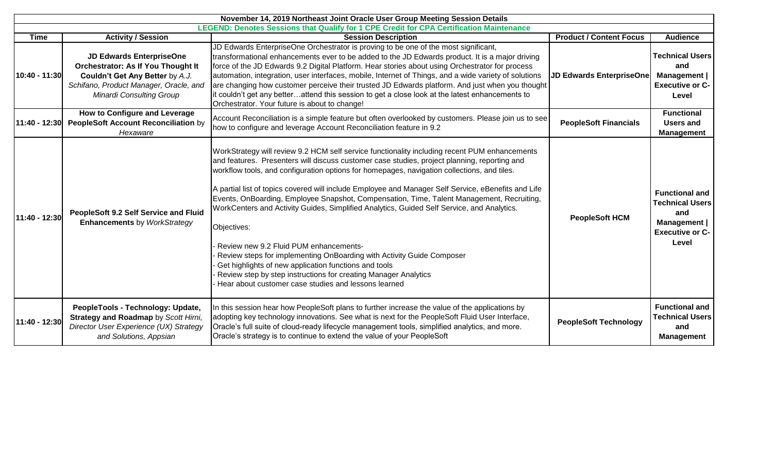|               | November 14, 2019 Northeast Joint Oracle User Group Meeting Session Details                                                                                                                  |                                                                                                                                                                                                                                                                                                                                                                                                                                                                                                                                                                                                                                                                                                                                                                                                                                                                                                                      |                                 |                                                                                                           |  |
|---------------|----------------------------------------------------------------------------------------------------------------------------------------------------------------------------------------------|----------------------------------------------------------------------------------------------------------------------------------------------------------------------------------------------------------------------------------------------------------------------------------------------------------------------------------------------------------------------------------------------------------------------------------------------------------------------------------------------------------------------------------------------------------------------------------------------------------------------------------------------------------------------------------------------------------------------------------------------------------------------------------------------------------------------------------------------------------------------------------------------------------------------|---------------------------------|-----------------------------------------------------------------------------------------------------------|--|
|               |                                                                                                                                                                                              | LEGEND: Denotes Sessions that Qualify for 1 CPE Credit for CPA Certification Maintenance                                                                                                                                                                                                                                                                                                                                                                                                                                                                                                                                                                                                                                                                                                                                                                                                                             |                                 |                                                                                                           |  |
| <b>Time</b>   | <b>Activity / Session</b>                                                                                                                                                                    | <b>Session Description</b>                                                                                                                                                                                                                                                                                                                                                                                                                                                                                                                                                                                                                                                                                                                                                                                                                                                                                           | <b>Product / Content Focus</b>  | <b>Audience</b>                                                                                           |  |
| 10:40 - 11:30 | <b>JD Edwards EnterpriseOne</b><br><b>Orchestrator: As If You Thought It</b><br>Couldn't Get Any Better by A.J.<br>Schifano, Product Manager, Oracle, and<br><b>Minardi Consulting Group</b> | JD Edwards EnterpriseOne Orchestrator is proving to be one of the most significant,<br>transformational enhancements ever to be added to the JD Edwards product. It is a major driving<br>force of the JD Edwards 9.2 Digital Platform. Hear stories about using Orchestrator for process<br>automation, integration, user interfaces, mobile, Internet of Things, and a wide variety of solutions<br>are changing how customer perceive their trusted JD Edwards platform. And just when you thought<br>it couldn't get any betterattend this session to get a close look at the latest enhancements to<br>Orchestrator. Your future is about to change!                                                                                                                                                                                                                                                            | <b>JD Edwards EnterpriseOne</b> | <b>Technical Users</b><br>and<br>Management  <br><b>Executive or C-</b><br>Level                          |  |
| 11:40 - 12:30 | How to Configure and Leverage<br><b>PeopleSoft Account Reconciliation by</b><br>Hexaware                                                                                                     | Account Reconciliation is a simple feature but often overlooked by customers. Please join us to see<br>how to configure and leverage Account Reconciliation feature in 9.2                                                                                                                                                                                                                                                                                                                                                                                                                                                                                                                                                                                                                                                                                                                                           | <b>PeopleSoft Financials</b>    | <b>Functional</b><br>Users and<br><b>Management</b>                                                       |  |
| 11:40 - 12:30 | PeopleSoft 9.2 Self Service and Fluid<br><b>Enhancements by WorkStrategy</b>                                                                                                                 | WorkStrategy will review 9.2 HCM self service functionality including recent PUM enhancements<br>and features. Presenters will discuss customer case studies, project planning, reporting and<br>workflow tools, and configuration options for homepages, navigation collections, and tiles.<br>A partial list of topics covered will include Employee and Manager Self Service, eBenefits and Life<br>Events, OnBoarding, Employee Snapshot, Compensation, Time, Talent Management, Recruiting,<br>WorkCenters and Activity Guides, Simplified Analytics, Guided Self Service, and Analytics.<br>Objectives:<br>Review new 9.2 Fluid PUM enhancements-<br>Review steps for implementing OnBoarding with Activity Guide Composer<br>Get highlights of new application functions and tools<br>Review step by step instructions for creating Manager Analytics<br>Hear about customer case studies and lessons learned | <b>PeopleSoft HCM</b>           | <b>Functional and</b><br><b>Technical Users</b><br>and<br>Management  <br><b>Executive or C-</b><br>Level |  |
| 11:40 - 12:30 | PeopleTools - Technology: Update,<br>Strategy and Roadmap by Scott Hirni,<br>Director User Experience (UX) Strategy<br>and Solutions, Appsian                                                | In this session hear how PeopleSoft plans to further increase the value of the applications by<br>adopting key technology innovations. See what is next for the PeopleSoft Fluid User Interface,<br>Oracle's full suite of cloud-ready lifecycle management tools, simplified analytics, and more.<br>Oracle's strategy is to continue to extend the value of your PeopleSoft                                                                                                                                                                                                                                                                                                                                                                                                                                                                                                                                        | <b>PeopleSoft Technology</b>    | <b>Functional and</b><br><b>Technical Users</b><br>and<br><b>Management</b>                               |  |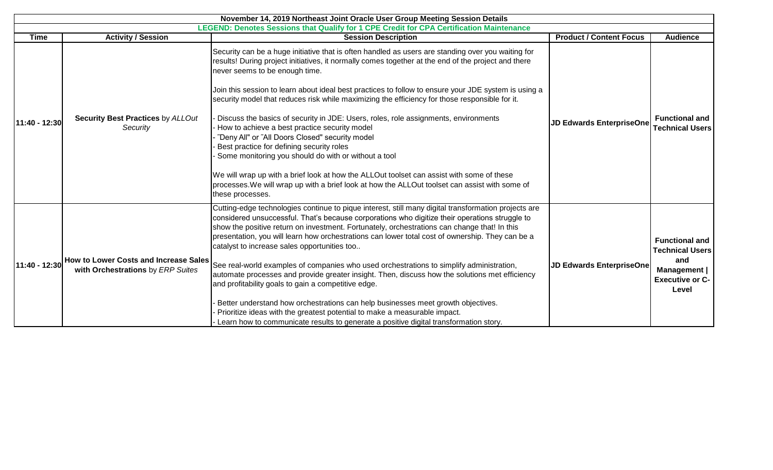|                                                                                          |                                                                                          | November 14, 2019 Northeast Joint Oracle User Group Meeting Session Details                                                                                                                                                                                                                                                                                                                                                                                                                                                                                                                                                                                                                                                                                                                                                                                                                                                                                               |                                 |                                                                                                           |  |
|------------------------------------------------------------------------------------------|------------------------------------------------------------------------------------------|---------------------------------------------------------------------------------------------------------------------------------------------------------------------------------------------------------------------------------------------------------------------------------------------------------------------------------------------------------------------------------------------------------------------------------------------------------------------------------------------------------------------------------------------------------------------------------------------------------------------------------------------------------------------------------------------------------------------------------------------------------------------------------------------------------------------------------------------------------------------------------------------------------------------------------------------------------------------------|---------------------------------|-----------------------------------------------------------------------------------------------------------|--|
| LEGEND: Denotes Sessions that Qualify for 1 CPE Credit for CPA Certification Maintenance |                                                                                          |                                                                                                                                                                                                                                                                                                                                                                                                                                                                                                                                                                                                                                                                                                                                                                                                                                                                                                                                                                           |                                 |                                                                                                           |  |
| <b>Time</b>                                                                              | <b>Activity / Session</b>                                                                | <b>Session Description</b>                                                                                                                                                                                                                                                                                                                                                                                                                                                                                                                                                                                                                                                                                                                                                                                                                                                                                                                                                | <b>Product / Content Focus</b>  | <b>Audience</b>                                                                                           |  |
| 11:40 - 12:30                                                                            | Security Best Practices by ALLOut<br>Security                                            | Security can be a huge initiative that is often handled as users are standing over you waiting for<br>results! During project initiatives, it normally comes together at the end of the project and there<br>never seems to be enough time.<br>Join this session to learn about ideal best practices to follow to ensure your JDE system is using a<br>security model that reduces risk while maximizing the efficiency for those responsible for it.<br>Discuss the basics of security in JDE: Users, roles, role assignments, environments<br>How to achieve a best practice security model<br>"Deny All" or "All Doors Closed" security model<br>Best practice for defining security roles<br>Some monitoring you should do with or without a tool<br>We will wrap up with a brief look at how the ALLOut toolset can assist with some of these<br>processes. We will wrap up with a brief look at how the ALLOut toolset can assist with some of<br>these processes.  | <b>JD Edwards EnterpriseOne</b> | <b>Functional and</b><br><b>Technical Users</b>                                                           |  |
|                                                                                          | 11:40 - 12:30 How to Lower Costs and Increase Sales<br>with Orchestrations by ERP Suites | Cutting-edge technologies continue to pique interest, still many digital transformation projects are<br>considered unsuccessful. That's because corporations who digitize their operations struggle to<br>show the positive return on investment. Fortunately, orchestrations can change that! In this<br>presentation, you will learn how orchestrations can lower total cost of ownership. They can be a<br>catalyst to increase sales opportunities too<br>See real-world examples of companies who used orchestrations to simplify administration,<br>automate processes and provide greater insight. Then, discuss how the solutions met efficiency<br>and profitability goals to gain a competitive edge.<br>Better understand how orchestrations can help businesses meet growth objectives.<br>Prioritize ideas with the greatest potential to make a measurable impact.<br>Learn how to communicate results to generate a positive digital transformation story. | <b>JD Edwards EnterpriseOne</b> | <b>Functional and</b><br><b>Technical Users</b><br>and<br>Management  <br><b>Executive or C-</b><br>Level |  |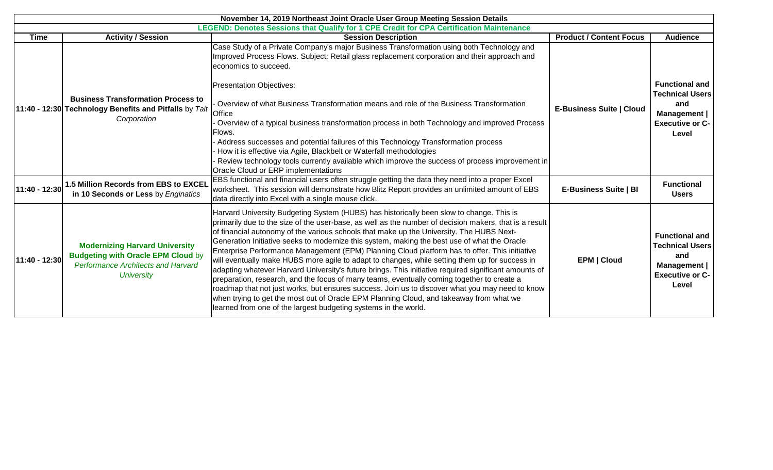| November 14, 2019 Northeast Joint Oracle User Group Meeting Session Details |                                                                                                                                                      |                                                                                                                                                                                                                                                                                                                                                                                                                                                                                                                                                                                                                                                                                                                                                                                                                                                                                                                                                                                                                                                                           |                                 |                                                                                                           |  |
|-----------------------------------------------------------------------------|------------------------------------------------------------------------------------------------------------------------------------------------------|---------------------------------------------------------------------------------------------------------------------------------------------------------------------------------------------------------------------------------------------------------------------------------------------------------------------------------------------------------------------------------------------------------------------------------------------------------------------------------------------------------------------------------------------------------------------------------------------------------------------------------------------------------------------------------------------------------------------------------------------------------------------------------------------------------------------------------------------------------------------------------------------------------------------------------------------------------------------------------------------------------------------------------------------------------------------------|---------------------------------|-----------------------------------------------------------------------------------------------------------|--|
|                                                                             |                                                                                                                                                      | LEGEND: Denotes Sessions that Qualify for 1 CPE Credit for CPA Certification Maintenance                                                                                                                                                                                                                                                                                                                                                                                                                                                                                                                                                                                                                                                                                                                                                                                                                                                                                                                                                                                  |                                 |                                                                                                           |  |
| Time                                                                        | <b>Activity / Session</b>                                                                                                                            | <b>Session Description</b>                                                                                                                                                                                                                                                                                                                                                                                                                                                                                                                                                                                                                                                                                                                                                                                                                                                                                                                                                                                                                                                | <b>Product / Content Focus</b>  | <b>Audience</b>                                                                                           |  |
|                                                                             |                                                                                                                                                      | Case Study of a Private Company's major Business Transformation using both Technology and<br>Improved Process Flows. Subject: Retail glass replacement corporation and their approach and<br>economics to succeed.                                                                                                                                                                                                                                                                                                                                                                                                                                                                                                                                                                                                                                                                                                                                                                                                                                                        |                                 |                                                                                                           |  |
|                                                                             | <b>Business Transformation Process to</b><br>11:40 - 12:30 Technology Benefits and Pitfalls by Tait<br>Corporation                                   | <b>Presentation Objectives:</b><br>Overview of what Business Transformation means and role of the Business Transformation<br>Office<br>Overview of a typical business transformation process in both Technology and improved Process<br>Flows.<br>- Address successes and potential failures of this Technology Transformation process<br>How it is effective via Agile, Blackbelt or Waterfall methodologies<br>Review technology tools currently available which improve the success of process improvement in<br>Oracle Cloud or ERP implementations                                                                                                                                                                                                                                                                                                                                                                                                                                                                                                                   | <b>E-Business Suite   Cloud</b> | <b>Functional and</b><br><b>Technical Users</b><br>and<br>Management  <br><b>Executive or C-</b><br>Level |  |
| 11:40 - 12:30                                                               | 1.5 Million Records from EBS to EXCEL<br>in 10 Seconds or Less by Enginatics                                                                         | EBS functional and financial users often struggle getting the data they need into a proper Excel<br>worksheet. This session will demonstrate how Blitz Report provides an unlimited amount of EBS<br>data directly into Excel with a single mouse click.                                                                                                                                                                                                                                                                                                                                                                                                                                                                                                                                                                                                                                                                                                                                                                                                                  | <b>E-Business Suite   BI</b>    | <b>Functional</b><br><b>Users</b>                                                                         |  |
| 11:40 - 12:30                                                               | <b>Modernizing Harvard University</b><br><b>Budgeting with Oracle EPM Cloud by</b><br><b>Performance Architects and Harvard</b><br><b>University</b> | Harvard University Budgeting System (HUBS) has historically been slow to change. This is<br>primarily due to the size of the user-base, as well as the number of decision makers, that is a result<br>of financial autonomy of the various schools that make up the University. The HUBS Next-<br>Generation Initiative seeks to modernize this system, making the best use of what the Oracle<br>Enterprise Performance Management (EPM) Planning Cloud platform has to offer. This initiative<br>will eventually make HUBS more agile to adapt to changes, while setting them up for success in<br>adapting whatever Harvard University's future brings. This initiative required significant amounts of<br>preparation, research, and the focus of many teams, eventually coming together to create a<br>roadmap that not just works, but ensures success. Join us to discover what you may need to know<br>when trying to get the most out of Oracle EPM Planning Cloud, and takeaway from what we<br>learned from one of the largest budgeting systems in the world. | <b>EPM   Cloud</b>              | <b>Functional and</b><br><b>Technical Users</b><br>and<br>Management  <br><b>Executive or C-</b><br>Level |  |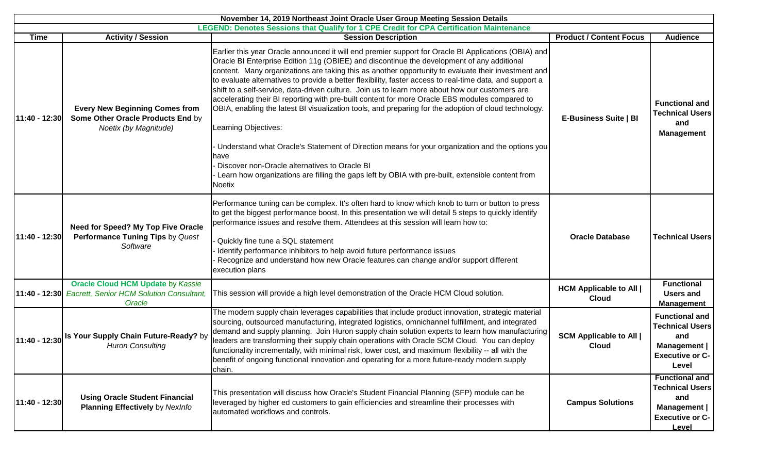| November 14, 2019 Northeast Joint Oracle User Group Meeting Session Details |                                                                                                       |                                                                                                                                                                                                                                                                                                                                                                                                                                                                                                                                                                                                                                                                                                                                                             |                                                |                                                                                                           |  |
|-----------------------------------------------------------------------------|-------------------------------------------------------------------------------------------------------|-------------------------------------------------------------------------------------------------------------------------------------------------------------------------------------------------------------------------------------------------------------------------------------------------------------------------------------------------------------------------------------------------------------------------------------------------------------------------------------------------------------------------------------------------------------------------------------------------------------------------------------------------------------------------------------------------------------------------------------------------------------|------------------------------------------------|-----------------------------------------------------------------------------------------------------------|--|
|                                                                             |                                                                                                       | LEGEND: Denotes Sessions that Qualify for 1 CPE Credit for CPA Certification Maintenance                                                                                                                                                                                                                                                                                                                                                                                                                                                                                                                                                                                                                                                                    |                                                |                                                                                                           |  |
| <b>Time</b>                                                                 | <b>Activity / Session</b>                                                                             | <b>Session Description</b>                                                                                                                                                                                                                                                                                                                                                                                                                                                                                                                                                                                                                                                                                                                                  | <b>Product / Content Focus</b>                 | <b>Audience</b>                                                                                           |  |
| 11:40 - 12:30                                                               | <b>Every New Beginning Comes from</b><br>Some Other Oracle Products End by<br>Noetix (by Magnitude)   | Earlier this year Oracle announced it will end premier support for Oracle BI Applications (OBIA) and<br>Oracle BI Enterprise Edition 11g (OBIEE) and discontinue the development of any additional<br>content. Many organizations are taking this as another opportunity to evaluate their investment and<br>to evaluate alternatives to provide a better flexibility, faster access to real-time data, and support a<br>shift to a self-service, data-driven culture. Join us to learn more about how our customers are<br>accelerating their BI reporting with pre-built content for more Oracle EBS modules compared to<br>OBIA, enabling the latest BI visualization tools, and preparing for the adoption of cloud technology.<br>Learning Objectives: | E-Business Suite   BI                          | <b>Functional and</b><br><b>Technical Users</b><br>and<br><b>Management</b>                               |  |
|                                                                             |                                                                                                       | Understand what Oracle's Statement of Direction means for your organization and the options you<br>have<br>Discover non-Oracle alternatives to Oracle BI<br>Learn how organizations are filling the gaps left by OBIA with pre-built, extensible content from<br>Noetix                                                                                                                                                                                                                                                                                                                                                                                                                                                                                     |                                                |                                                                                                           |  |
| 11:40 - 12:30                                                               | Need for Speed? My Top Five Oracle<br>Performance Tuning Tips by Quest<br>Software                    | Performance tuning can be complex. It's often hard to know which knob to turn or button to press<br>to get the biggest performance boost. In this presentation we will detail 5 steps to quickly identify<br>performance issues and resolve them. Attendees at this session will learn how to:<br>Quickly fine tune a SQL statement<br>Identify performance inhibitors to help avoid future performance issues<br>Recognize and understand how new Oracle features can change and/or support different<br>execution plans                                                                                                                                                                                                                                   | <b>Oracle Database</b>                         | <b>Technical Users</b>                                                                                    |  |
| 11:40 - 12:30                                                               | <b>Oracle Cloud HCM Update by Kassie</b><br><b>Eacrett, Senior HCM Solution Consultant,</b><br>Oracle | This session will provide a high level demonstration of the Oracle HCM Cloud solution.                                                                                                                                                                                                                                                                                                                                                                                                                                                                                                                                                                                                                                                                      | <b>HCM Applicable to All  </b><br><b>Cloud</b> | <b>Functional</b><br>Users and<br><b>Management</b>                                                       |  |
|                                                                             | 11:40 - 12:30 Is Your Supply Chain Future-Ready? by<br><b>Huron Consulting</b>                        | The modern supply chain leverages capabilities that include product innovation, strategic material<br>sourcing, outsourced manufacturing, integrated logistics, omnichannel fulfillment, and integrated<br>demand and supply planning. Join Huron supply chain solution experts to learn how manufacturing<br>leaders are transforming their supply chain operations with Oracle SCM Cloud. You can deploy<br>functionality incrementally, with minimal risk, lower cost, and maximum flexibility -- all with the<br>benefit of ongoing functional innovation and operating for a more future-ready modern supply<br>chain.                                                                                                                                 | <b>SCM Applicable to All  </b><br><b>Cloud</b> | <b>Functional and</b><br><b>Technical Users</b><br>and<br>Management  <br><b>Executive or C-</b><br>Level |  |
| 11:40 - 12:30                                                               | <b>Using Oracle Student Financial</b><br><b>Planning Effectively</b> by NexInfo                       | This presentation will discuss how Oracle's Student Financial Planning (SFP) module can be<br>leveraged by higher ed customers to gain efficiencies and streamline their processes with<br>automated workflows and controls.                                                                                                                                                                                                                                                                                                                                                                                                                                                                                                                                | <b>Campus Solutions</b>                        | <b>Functional and</b><br><b>Technical Users</b><br>and<br>Management  <br><b>Executive or C-</b><br>Level |  |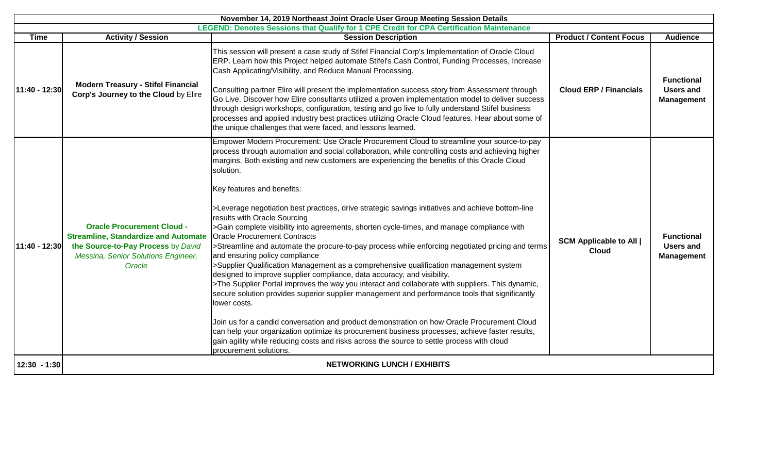| November 14, 2019 Northeast Joint Oracle User Group Meeting Session Details |                                                                                                                                                                         |                                                                                                                                                                                                                                                                                                                                                                                                                                                                                                                                                                                                                                                                                                                                                                                                                                                                                                                                                                                                                                                                                                                                                                                                                                                                                                                                                                                                                                                                              |                                                |                                                            |  |
|-----------------------------------------------------------------------------|-------------------------------------------------------------------------------------------------------------------------------------------------------------------------|------------------------------------------------------------------------------------------------------------------------------------------------------------------------------------------------------------------------------------------------------------------------------------------------------------------------------------------------------------------------------------------------------------------------------------------------------------------------------------------------------------------------------------------------------------------------------------------------------------------------------------------------------------------------------------------------------------------------------------------------------------------------------------------------------------------------------------------------------------------------------------------------------------------------------------------------------------------------------------------------------------------------------------------------------------------------------------------------------------------------------------------------------------------------------------------------------------------------------------------------------------------------------------------------------------------------------------------------------------------------------------------------------------------------------------------------------------------------------|------------------------------------------------|------------------------------------------------------------|--|
|                                                                             |                                                                                                                                                                         | LEGEND: Denotes Sessions that Qualify for 1 CPE Credit for CPA Certification Maintenance                                                                                                                                                                                                                                                                                                                                                                                                                                                                                                                                                                                                                                                                                                                                                                                                                                                                                                                                                                                                                                                                                                                                                                                                                                                                                                                                                                                     |                                                |                                                            |  |
| <b>Time</b>                                                                 | <b>Activity / Session</b>                                                                                                                                               | <b>Session Description</b>                                                                                                                                                                                                                                                                                                                                                                                                                                                                                                                                                                                                                                                                                                                                                                                                                                                                                                                                                                                                                                                                                                                                                                                                                                                                                                                                                                                                                                                   | <b>Product / Content Focus</b>                 | <b>Audience</b>                                            |  |
| 11:40 - 12:30                                                               | <b>Modern Treasury - Stifel Financial</b><br>Corp's Journey to the Cloud by Elire                                                                                       | This session will present a case study of Stifel Financial Corp's Implementation of Oracle Cloud<br>ERP. Learn how this Project helped automate Stifel's Cash Control, Funding Processes, Increase<br>Cash Applicating/Visibility, and Reduce Manual Processing.<br>Consulting partner Elire will present the implementation success story from Assessment through<br>Go Live. Discover how Elire consultants utilized a proven implementation model to deliver success<br>through design workshops, configuration, testing and go live to fully understand Stifel business<br>processes and applied industry best practices utilizing Oracle Cloud features. Hear about some of<br>the unique challenges that were faced, and lessons learned.                                                                                                                                                                                                                                                                                                                                                                                                                                                                                                                                                                                                                                                                                                                              | <b>Cloud ERP / Financials</b>                  | <b>Functional</b><br><b>Users and</b><br><b>Management</b> |  |
| 11:40 - 12:30                                                               | <b>Oracle Procurement Cloud -</b><br><b>Streamline, Standardize and Automate</b><br>the Source-to-Pay Process by David<br>Messina, Senior Solutions Engineer,<br>Oracle | Empower Modern Procurement: Use Oracle Procurement Cloud to streamline your source-to-pay<br>process through automation and social collaboration, while controlling costs and achieving higher<br>margins. Both existing and new customers are experiencing the benefits of this Oracle Cloud<br>solution.<br>Key features and benefits:<br>>Leverage negotiation best practices, drive strategic savings initiatives and achieve bottom-line<br>results with Oracle Sourcing<br>>Gain complete visibility into agreements, shorten cycle-times, and manage compliance with<br><b>Oracle Procurement Contracts</b><br>>Streamline and automate the procure-to-pay process while enforcing negotiated pricing and terms<br>and ensuring policy compliance<br>>Supplier Qualification Management as a comprehensive qualification management system<br>designed to improve supplier compliance, data accuracy, and visibility.<br>>The Supplier Portal improves the way you interact and collaborate with suppliers. This dynamic,<br>secure solution provides superior supplier management and performance tools that significantly<br>lower costs.<br>Join us for a candid conversation and product demonstration on how Oracle Procurement Cloud<br>can help your organization optimize its procurement business processes, achieve faster results,<br>gain agility while reducing costs and risks across the source to settle process with cloud<br>procurement solutions. | <b>SCM Applicable to All  </b><br><b>Cloud</b> | <b>Functional</b><br><b>Users and</b><br><b>Management</b> |  |
| $12:30 - 1:30$                                                              |                                                                                                                                                                         | <b>NETWORKING LUNCH / EXHIBITS</b>                                                                                                                                                                                                                                                                                                                                                                                                                                                                                                                                                                                                                                                                                                                                                                                                                                                                                                                                                                                                                                                                                                                                                                                                                                                                                                                                                                                                                                           |                                                |                                                            |  |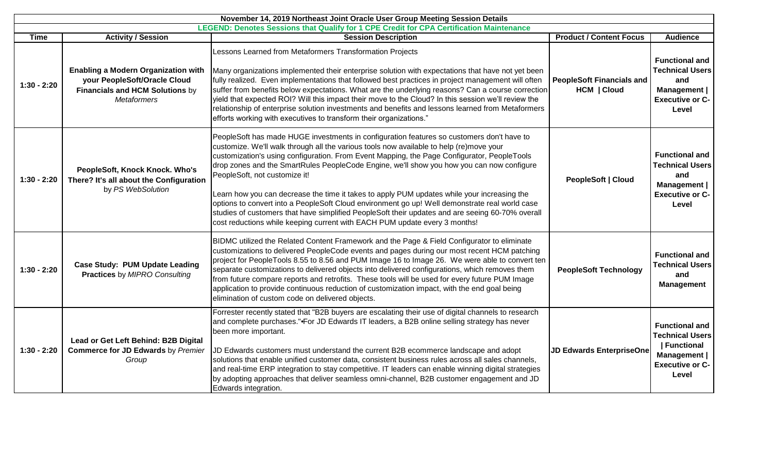| November 14, 2019 Northeast Joint Oracle User Group Meeting Session Details |                                                                                                                                            |                                                                                                                                                                                                                                                                                                                                                                                                                                                                                                                                                                                                                                                                                                                                                                                                      |                                                 |                                                                                                                         |
|-----------------------------------------------------------------------------|--------------------------------------------------------------------------------------------------------------------------------------------|------------------------------------------------------------------------------------------------------------------------------------------------------------------------------------------------------------------------------------------------------------------------------------------------------------------------------------------------------------------------------------------------------------------------------------------------------------------------------------------------------------------------------------------------------------------------------------------------------------------------------------------------------------------------------------------------------------------------------------------------------------------------------------------------------|-------------------------------------------------|-------------------------------------------------------------------------------------------------------------------------|
|                                                                             |                                                                                                                                            | <b>LEGEND: Denotes Sessions that Qualify for 1 CPE Credit for CPA Certification Maintenance</b>                                                                                                                                                                                                                                                                                                                                                                                                                                                                                                                                                                                                                                                                                                      |                                                 |                                                                                                                         |
| <b>Time</b>                                                                 | <b>Activity / Session</b>                                                                                                                  | <b>Session Description</b>                                                                                                                                                                                                                                                                                                                                                                                                                                                                                                                                                                                                                                                                                                                                                                           | <b>Product / Content Focus</b>                  | <b>Audience</b>                                                                                                         |
| $1:30 - 2:20$                                                               | <b>Enabling a Modern Organization with</b><br>your PeopleSoft/Oracle Cloud<br><b>Financials and HCM Solutions by</b><br><b>Metaformers</b> | Lessons Learned from Metaformers Transformation Projects<br>Many organizations implemented their enterprise solution with expectations that have not yet been<br>fully realized. Even implementations that followed best practices in project management will often<br>suffer from benefits below expectations. What are the underlying reasons? Can a course correction<br>yield that expected ROI? Will this impact their move to the Cloud? In this session we'll review the<br>relationship of enterprise solution investments and benefits and lessons learned from Metaformers<br>efforts working with executives to transform their organizations."                                                                                                                                           | <b>PeopleSoft Financials and</b><br>HCM   Cloud | <b>Functional and</b><br><b>Technical Users</b><br>and<br>Management<br><b>Executive or C-</b><br>Level                 |
| $1:30 - 2:20$                                                               | PeopleSoft, Knock Knock. Who's<br>There? It's all about the Configuration<br>by PS WebSolution                                             | PeopleSoft has made HUGE investments in configuration features so customers don't have to<br>customize. We'll walk through all the various tools now available to help (re)move your<br>customization's using configuration. From Event Mapping, the Page Configurator, PeopleTools<br>drop zones and the SmartRules PeopleCode Engine, we'll show you how you can now configure<br>PeopleSoft, not customize it!<br>Learn how you can decrease the time it takes to apply PUM updates while your increasing the<br>options to convert into a PeopleSoft Cloud environment go up! Well demonstrate real world case<br>studies of customers that have simplified PeopleSoft their updates and are seeing 60-70% overall<br>cost reductions while keeping current with EACH PUM update every 3 months! | PeopleSoft   Cloud                              | <b>Functional and</b><br><b>Technical Users</b><br>and<br>Management  <br><b>Executive or C-</b><br>Level               |
| $1:30 - 2:20$                                                               | <b>Case Study: PUM Update Leading</b><br><b>Practices by MIPRO Consulting</b>                                                              | BIDMC utilized the Related Content Framework and the Page & Field Configurator to eliminate<br>customizations to delivered PeopleCode events and pages during our most recent HCM patching<br>project for PeopleTools 8.55 to 8.56 and PUM Image 16 to Image 26. We were able to convert ten<br>separate customizations to delivered objects into delivered configurations, which removes them<br>from future compare reports and retrofits. These tools will be used for every future PUM Image<br>application to provide continuous reduction of customization impact, with the end goal being<br>elimination of custom code on delivered objects.                                                                                                                                                 | <b>PeopleSoft Technology</b>                    | <b>Functional and</b><br><b>Technical Users</b><br>and<br><b>Management</b>                                             |
| $1:30 - 2:20$                                                               | Lead or Get Left Behind: B2B Digital<br><b>Commerce for JD Edwards by Premier</b><br>Group                                                 | Forrester recently stated that "B2B buyers are escalating their use of digital channels to research<br>and complete purchases."•For JD Edwards IT leaders, a B2B online selling strategy has never<br>been more important.<br>JD Edwards customers must understand the current B2B ecommerce landscape and adopt<br>solutions that enable unified customer data, consistent business rules across all sales channels,<br>and real-time ERP integration to stay competitive. IT leaders can enable winning digital strategies<br>by adopting approaches that deliver seamless omni-channel, B2B customer engagement and JD<br>Edwards integration.                                                                                                                                                    | <b>JD Edwards EnterpriseOne</b>                 | <b>Functional and</b><br><b>Technical Users</b><br><b>Functional</b><br>Management  <br><b>Executive or C-</b><br>Level |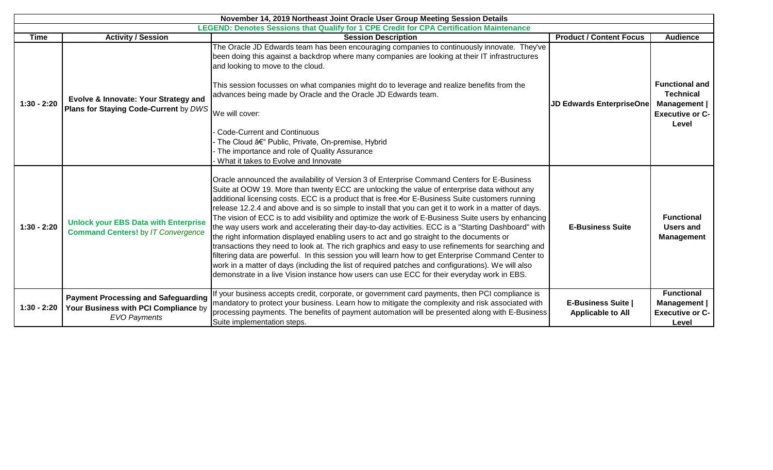| November 14, 2019 Northeast Joint Oracle User Group Meeting Session Details              |                                                                                                           |                                                                                                                                                                                                                                                                                                                                                                                                                                                                                                                                                                                                                                                                                                                                                                                                                                                                                                                                                                                                                                                                                                                                        |                                                       |                                                                                              |  |
|------------------------------------------------------------------------------------------|-----------------------------------------------------------------------------------------------------------|----------------------------------------------------------------------------------------------------------------------------------------------------------------------------------------------------------------------------------------------------------------------------------------------------------------------------------------------------------------------------------------------------------------------------------------------------------------------------------------------------------------------------------------------------------------------------------------------------------------------------------------------------------------------------------------------------------------------------------------------------------------------------------------------------------------------------------------------------------------------------------------------------------------------------------------------------------------------------------------------------------------------------------------------------------------------------------------------------------------------------------------|-------------------------------------------------------|----------------------------------------------------------------------------------------------|--|
| LEGEND: Denotes Sessions that Qualify for 1 CPE Credit for CPA Certification Maintenance |                                                                                                           |                                                                                                                                                                                                                                                                                                                                                                                                                                                                                                                                                                                                                                                                                                                                                                                                                                                                                                                                                                                                                                                                                                                                        |                                                       |                                                                                              |  |
| <b>Time</b>                                                                              | <b>Activity / Session</b>                                                                                 | <b>Session Description</b>                                                                                                                                                                                                                                                                                                                                                                                                                                                                                                                                                                                                                                                                                                                                                                                                                                                                                                                                                                                                                                                                                                             | <b>Product / Content Focus</b>                        | <b>Audience</b>                                                                              |  |
| $1:30 - 2:20$                                                                            | Evolve & Innovate: Your Strategy and<br>Plans for Staying Code-Current by DWS We will cover:              | The Oracle JD Edwards team has been encouraging companies to continuously innovate. They've<br>been doing this against a backdrop where many companies are looking at their IT infrastructures<br>and looking to move to the cloud.<br>This session focusses on what companies might do to leverage and realize benefits from the<br>advances being made by Oracle and the Oracle JD Edwards team.<br>Code-Current and Continuous<br>- The Cloud – Public, Private, On-premise, Hybrid                                                                                                                                                                                                                                                                                                                                                                                                                                                                                                                                                                                                                                                 | <b>JD Edwards EnterpriseOne</b>                       | <b>Functional and</b><br><b>Technical</b><br>Management  <br><b>Executive or C-</b><br>Level |  |
|                                                                                          |                                                                                                           | - The importance and role of Quality Assurance<br>What it takes to Evolve and Innovate                                                                                                                                                                                                                                                                                                                                                                                                                                                                                                                                                                                                                                                                                                                                                                                                                                                                                                                                                                                                                                                 |                                                       |                                                                                              |  |
| $1:30 - 2:20$                                                                            | <b>Unlock your EBS Data with Enterprise</b><br><b>Command Centers!</b> by IT Convergence                  | Oracle announced the availability of Version 3 of Enterprise Command Centers for E-Business<br>Suite at OOW 19. More than twenty ECC are unlocking the value of enterprise data without any<br>additional licensing costs. ECC is a product that is free. for E-Business Suite customers running<br>release 12.2.4 and above and is so simple to install that you can get it to work in a matter of days.<br>The vision of ECC is to add visibility and optimize the work of E-Business Suite users by enhancing<br>the way users work and accelerating their day-to-day activities. ECC is a "Starting Dashboard" with<br>the right information displayed enabling users to act and go straight to the documents or<br>transactions they need to look at. The rich graphics and easy to use refinements for searching and<br>filtering data are powerful. In this session you will learn how to get Enterprise Command Center to<br>work in a matter of days (including the list of required patches and configurations). We will also<br>demonstrate in a live Vision instance how users can use ECC for their everyday work in EBS. | <b>E-Business Suite</b>                               | <b>Functional</b><br><b>Users and</b><br><b>Management</b>                                   |  |
| $1:30 - 2:20$                                                                            | <b>Payment Processing and Safeguarding</b><br>Your Business with PCI Compliance by<br><b>EVO Payments</b> | If your business accepts credit, corporate, or government card payments, then PCI compliance is<br>mandatory to protect your business. Learn how to mitigate the complexity and risk associated with<br>processing payments. The benefits of payment automation will be presented along with E-Business<br>Suite implementation steps.                                                                                                                                                                                                                                                                                                                                                                                                                                                                                                                                                                                                                                                                                                                                                                                                 | <b>E-Business Suite  </b><br><b>Applicable to All</b> | <b>Functional</b><br><b>Management</b>  <br><b>Executive or C-</b><br>Level                  |  |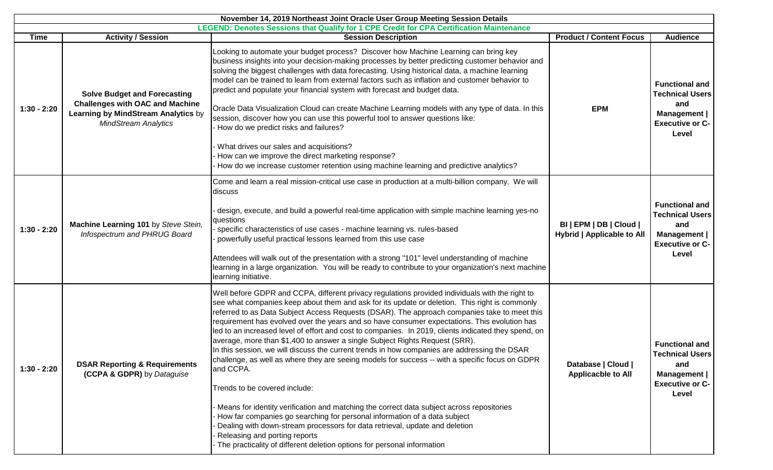| November 14, 2019 Northeast Joint Oracle User Group Meeting Session Details |                                                                                                                                                     |                                                                                                                                                                                                                                                                                                                                                                                                                                                                                                                                                                                                                                                                                                                                                                                                                                                                                                                                                                                                                                                                                                                                                                                                               |                                                              |                                                                                                                  |  |
|-----------------------------------------------------------------------------|-----------------------------------------------------------------------------------------------------------------------------------------------------|---------------------------------------------------------------------------------------------------------------------------------------------------------------------------------------------------------------------------------------------------------------------------------------------------------------------------------------------------------------------------------------------------------------------------------------------------------------------------------------------------------------------------------------------------------------------------------------------------------------------------------------------------------------------------------------------------------------------------------------------------------------------------------------------------------------------------------------------------------------------------------------------------------------------------------------------------------------------------------------------------------------------------------------------------------------------------------------------------------------------------------------------------------------------------------------------------------------|--------------------------------------------------------------|------------------------------------------------------------------------------------------------------------------|--|
| <b>Time</b>                                                                 | <b>Activity / Session</b>                                                                                                                           | <b>LEGEND: Denotes Sessions that Qualify for 1 CPE Credit for CPA Certification Maintenance</b><br><b>Session Description</b>                                                                                                                                                                                                                                                                                                                                                                                                                                                                                                                                                                                                                                                                                                                                                                                                                                                                                                                                                                                                                                                                                 | <b>Product / Content Focus</b>                               | <b>Audience</b>                                                                                                  |  |
| $1:30 - 2:20$                                                               | <b>Solve Budget and Forecasting</b><br><b>Challenges with OAC and Machine</b><br>Learning by MindStream Analytics by<br><b>MindStream Analytics</b> | Looking to automate your budget process? Discover how Machine Learning can bring key<br>business insights into your decision-making processes by better predicting customer behavior and<br>solving the biggest challenges with data forecasting. Using historical data, a machine learning<br>model can be trained to learn from external factors such as inflation and customer behavior to<br>predict and populate your financial system with forecast and budget data.<br>Oracle Data Visualization Cloud can create Machine Learning models with any type of data. In this<br>session, discover how you can use this powerful tool to answer questions like:<br>- How do we predict risks and failures?<br>What drives our sales and acquisitions?<br>How can we improve the direct marketing response?<br>How do we increase customer retention using machine learning and predictive analytics?                                                                                                                                                                                                                                                                                                        | <b>EPM</b>                                                   | <b>Functional and</b><br><b>Technical Users</b><br>and<br><b>Management</b>  <br><b>Executive or C-</b><br>Level |  |
| $1:30 - 2:20$                                                               | Machine Learning 101 by Steve Stein,<br>Infospectrum and PHRUG Board                                                                                | Come and learn a real mission-critical use case in production at a multi-billion company. We will<br>discuss<br>design, execute, and build a powerful real-time application with simple machine learning yes-no<br>questions<br>specific characteristics of use cases - machine learning vs. rules-based<br>powerfully useful practical lessons learned from this use case<br>Attendees will walk out of the presentation with a strong "101" level understanding of machine<br>learning in a large organization. You will be ready to contribute to your organization's next machine<br>learning initiative.                                                                                                                                                                                                                                                                                                                                                                                                                                                                                                                                                                                                 | BI   EPM   DB   Cloud  <br><b>Hybrid   Applicable to All</b> | <b>Functional and</b><br><b>Technical Users</b><br>and<br>Management  <br><b>Executive or C-</b><br>Level        |  |
| $1:30 - 2:20$                                                               | <b>DSAR Reporting &amp; Requirements</b><br>(CCPA & GDPR) by Dataguise                                                                              | Well before GDPR and CCPA, different privacy regulations provided individuals with the right to<br>see what companies keep about them and ask for its update or deletion. This right is commonly<br>referred to as Data Subject Access Requests (DSAR). The approach companies take to meet this<br>requirement has evolved over the years and so have consumer expectations. This evolution has<br>led to an increased level of effort and cost to companies. In 2019, clients indicated they spend, on<br>average, more than \$1,400 to answer a single Subject Rights Request (SRR).<br>In this session, we will discuss the current trends in how companies are addressing the DSAR<br>challenge, as well as where they are seeing models for success -- with a specific focus on GDPR<br>and CCPA.<br>Trends to be covered include:<br>Means for identity verification and matching the correct data subject across repositories<br>How far companies go searching for personal information of a data subject<br>Dealing with down-stream processors for data retrieval, update and deletion<br>Releasing and porting reports<br>The practicality of different deletion options for personal information | Database   Cloud  <br><b>Applicacble to All</b>              | <b>Functional and</b><br><b>Technical Users</b><br>and<br>Management<br><b>Executive or C-</b><br>Level          |  |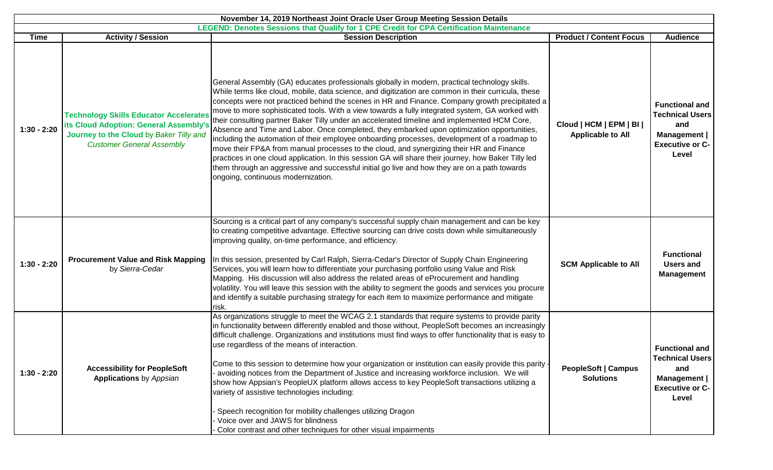| November 14, 2019 Northeast Joint Oracle User Group Meeting Session Details |                                                                                                                                                                        |                                                                                                                                                                                                                                                                                                                                                                                                                                                                                                                                                                                                                                                                                                                                                                                                                                                                                                                                                                                                                                                   |                                                      |                                                                                                           |  |  |
|-----------------------------------------------------------------------------|------------------------------------------------------------------------------------------------------------------------------------------------------------------------|---------------------------------------------------------------------------------------------------------------------------------------------------------------------------------------------------------------------------------------------------------------------------------------------------------------------------------------------------------------------------------------------------------------------------------------------------------------------------------------------------------------------------------------------------------------------------------------------------------------------------------------------------------------------------------------------------------------------------------------------------------------------------------------------------------------------------------------------------------------------------------------------------------------------------------------------------------------------------------------------------------------------------------------------------|------------------------------------------------------|-----------------------------------------------------------------------------------------------------------|--|--|
|                                                                             | LEGEND: Denotes Sessions that Qualify for 1 CPE Credit for CPA Certification Maintenance                                                                               |                                                                                                                                                                                                                                                                                                                                                                                                                                                                                                                                                                                                                                                                                                                                                                                                                                                                                                                                                                                                                                                   |                                                      |                                                                                                           |  |  |
| Time                                                                        | <b>Activity / Session</b>                                                                                                                                              | <b>Session Description</b>                                                                                                                                                                                                                                                                                                                                                                                                                                                                                                                                                                                                                                                                                                                                                                                                                                                                                                                                                                                                                        | <b>Product / Content Focus</b>                       | <b>Audience</b>                                                                                           |  |  |
| $1:30 - 2:20$                                                               | <b>Technology Skills Educator Accelerates</b><br>its Cloud Adoption: General Assembly's<br>Journey to the Cloud by Baker Tilly and<br><b>Customer General Assembly</b> | General Assembly (GA) educates professionals globally in modern, practical technology skills.<br>While terms like cloud, mobile, data science, and digitization are common in their curricula, these<br>concepts were not practiced behind the scenes in HR and Finance. Company growth precipitated a<br>move to more sophisticated tools. With a view towards a fully integrated system, GA worked with<br>their consulting partner Baker Tilly under an accelerated timeline and implemented HCM Core,<br>Absence and Time and Labor. Once completed, they embarked upon optimization opportunities,<br>including the automation of their employee onboarding processes, development of a roadmap to<br>move their FP&A from manual processes to the cloud, and synergizing their HR and Finance<br>practices in one cloud application. In this session GA will share their journey, how Baker Tilly led<br>them through an aggressive and successful initial go live and how they are on a path towards<br>ongoing, continuous modernization. | Cloud   HCM   EPM   BI  <br><b>Applicable to All</b> | <b>Functional and</b><br><b>Technical Users</b><br>and<br>Management  <br><b>Executive or C-</b><br>Level |  |  |
| $1:30 - 2:20$                                                               | <b>Procurement Value and Risk Mapping</b><br>by Sierra-Cedar                                                                                                           | Sourcing is a critical part of any company's successful supply chain management and can be key<br>to creating competitive advantage. Effective sourcing can drive costs down while simultaneously<br>improving quality, on-time performance, and efficiency.<br>In this session, presented by Carl Ralph, Sierra-Cedar's Director of Supply Chain Engineering<br>Services, you will learn how to differentiate your purchasing portfolio using Value and Risk<br>Mapping. His discussion will also address the related areas of eProcurement and handling<br>volatility. You will leave this session with the ability to segment the goods and services you procure<br>and identify a suitable purchasing strategy for each item to maximize performance and mitigate<br>risk.                                                                                                                                                                                                                                                                    | <b>SCM Applicable to All</b>                         | <b>Functional</b><br><b>Users and</b><br><b>Management</b>                                                |  |  |
| $1:30 - 2:20$                                                               | <b>Accessibility for PeopleSoft</b><br><b>Applications</b> by Appsian                                                                                                  | As organizations struggle to meet the WCAG 2.1 standards that require systems to provide parity<br>in functionality between differently enabled and those without, PeopleSoft becomes an increasingly<br>difficult challenge. Organizations and institutions must find ways to offer functionality that is easy to<br>use regardless of the means of interaction.<br>Come to this session to determine how your organization or institution can easily provide this parity -<br>avoiding notices from the Department of Justice and increasing workforce inclusion. We will<br>show how Appsian's PeopleUX platform allows access to key PeopleSoft transactions utilizing a<br>variety of assistive technologies including:<br>Speech recognition for mobility challenges utilizing Dragon<br>Voice over and JAWS for blindness<br>Color contrast and other techniques for other visual impairments                                                                                                                                              | <b>PeopleSoft   Campus</b><br><b>Solutions</b>       | <b>Functional and</b><br><b>Technical Users</b><br>and<br>Management  <br><b>Executive or C-</b><br>Level |  |  |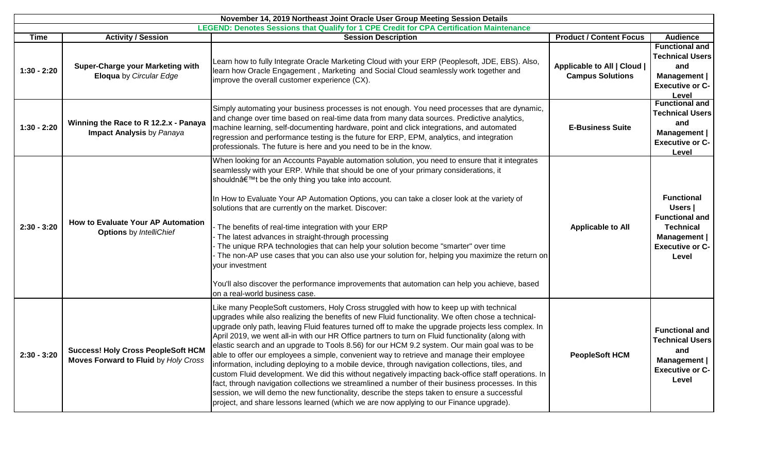| November 14, 2019 Northeast Joint Oracle User Group Meeting Session Details<br>LEGEND: Denotes Sessions that Qualify for 1 CPE Credit for CPA Certification Maintenance |                                                                                          |                                                                                                                                                                                                                                                                                                                                                                                                                                                                                                                                                                                                                                                                                                                                                                                                                                                                                                                                                                                                                                                                                                                 |                                                        |                                                                                                                              |  |
|-------------------------------------------------------------------------------------------------------------------------------------------------------------------------|------------------------------------------------------------------------------------------|-----------------------------------------------------------------------------------------------------------------------------------------------------------------------------------------------------------------------------------------------------------------------------------------------------------------------------------------------------------------------------------------------------------------------------------------------------------------------------------------------------------------------------------------------------------------------------------------------------------------------------------------------------------------------------------------------------------------------------------------------------------------------------------------------------------------------------------------------------------------------------------------------------------------------------------------------------------------------------------------------------------------------------------------------------------------------------------------------------------------|--------------------------------------------------------|------------------------------------------------------------------------------------------------------------------------------|--|
| <b>Time</b>                                                                                                                                                             | <b>Activity / Session</b>                                                                | <b>Session Description</b>                                                                                                                                                                                                                                                                                                                                                                                                                                                                                                                                                                                                                                                                                                                                                                                                                                                                                                                                                                                                                                                                                      | <b>Product / Content Focus</b>                         | <b>Audience</b>                                                                                                              |  |
| $1:30 - 2:20$                                                                                                                                                           | <b>Super-Charge your Marketing with</b><br><b>Eloqua</b> by Circular Edge                | Learn how to fully Integrate Oracle Marketing Cloud with your ERP (Peoplesoft, JDE, EBS). Also,<br>learn how Oracle Engagement, Marketing and Social Cloud seamlessly work together and<br>improve the overall customer experience (CX).                                                                                                                                                                                                                                                                                                                                                                                                                                                                                                                                                                                                                                                                                                                                                                                                                                                                        | Applicable to All   Cloud  <br><b>Campus Solutions</b> | <b>Functional and</b><br><b>Technical Users</b><br>and<br>Management  <br><b>Executive or C-</b><br>Level                    |  |
| $1:30 - 2:20$                                                                                                                                                           | Winning the Race to R 12.2.x - Panaya<br><b>Impact Analysis by Panaya</b>                | Simply automating your business processes is not enough. You need processes that are dynamic,<br>and change over time based on real-time data from many data sources. Predictive analytics,<br>machine learning, self-documenting hardware, point and click integrations, and automated<br>regression and performance testing is the future for ERP, EPM, analytics, and integration<br>professionals. The future is here and you need to be in the know.                                                                                                                                                                                                                                                                                                                                                                                                                                                                                                                                                                                                                                                       | <b>E-Business Suite</b>                                | <b>Functional and</b><br><b>Technical Users</b><br>and<br>Management  <br><b>Executive or C-</b><br>Level                    |  |
| $2:30 - 3:20$                                                                                                                                                           | How to Evaluate Your AP Automation<br><b>Options</b> by IntelliChief                     | When looking for an Accounts Payable automation solution, you need to ensure that it integrates<br>seamlessly with your ERP. While that should be one of your primary considerations, it<br>shouldn't be the only thing you take into account.<br>In How to Evaluate Your AP Automation Options, you can take a closer look at the variety of<br>solutions that are currently on the market. Discover:<br>- The benefits of real-time integration with your ERP<br>The latest advances in straight-through processing<br>The unique RPA technologies that can help your solution become "smarter" over time<br>The non-AP use cases that you can also use your solution for, helping you maximize the return on<br>your investment<br>You'll also discover the performance improvements that automation can help you achieve, based<br>on a real-world business case.                                                                                                                                                                                                                                           | <b>Applicable to All</b>                               | <b>Functional</b><br>Users  <br><b>Functional and</b><br><b>Technical</b><br>Management  <br><b>Executive or C-</b><br>Level |  |
| $2:30 - 3:20$                                                                                                                                                           | <b>Success! Holy Cross PeopleSoft HCM</b><br><b>Moves Forward to Fluid by Holy Cross</b> | Like many PeopleSoft customers, Holy Cross struggled with how to keep up with technical<br>upgrades while also realizing the benefits of new Fluid functionality. We often chose a technical-<br>upgrade only path, leaving Fluid features turned off to make the upgrade projects less complex. In<br>April 2019, we went all-in with our HR Office partners to turn on Fluid functionality (along with<br>elastic search and an upgrade to Tools 8.56) for our HCM 9.2 system. Our main goal was to be<br>able to offer our employees a simple, convenient way to retrieve and manage their employee<br>information, including deploying to a mobile device, through navigation collections, tiles, and<br>custom Fluid development. We did this without negatively impacting back-office staff operations. In<br>fact, through navigation collections we streamlined a number of their business processes. In this<br>session, we will demo the new functionality, describe the steps taken to ensure a successful<br>project, and share lessons learned (which we are now applying to our Finance upgrade). | <b>PeopleSoft HCM</b>                                  | <b>Functional and</b><br><b>Technical Users</b><br>and<br>Management<br><b>Executive or C-</b><br>Level                      |  |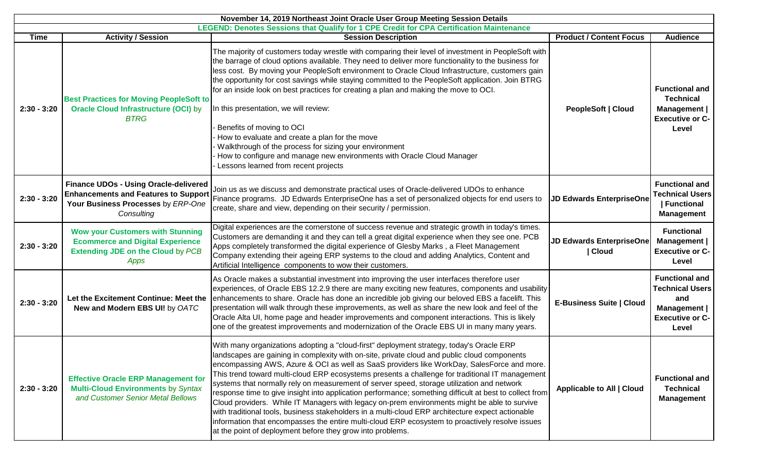| November 14, 2019 Northeast Joint Oracle User Group Meeting Session Details |                                                                                                                                                                                                      |                                                                                                                                                                                                                                                                                                                                                                                                                                                                                                                                                                                                                                                                                                                                                                                                                                                                                                                                                                          |                                          |                                                                                                                 |  |
|-----------------------------------------------------------------------------|------------------------------------------------------------------------------------------------------------------------------------------------------------------------------------------------------|--------------------------------------------------------------------------------------------------------------------------------------------------------------------------------------------------------------------------------------------------------------------------------------------------------------------------------------------------------------------------------------------------------------------------------------------------------------------------------------------------------------------------------------------------------------------------------------------------------------------------------------------------------------------------------------------------------------------------------------------------------------------------------------------------------------------------------------------------------------------------------------------------------------------------------------------------------------------------|------------------------------------------|-----------------------------------------------------------------------------------------------------------------|--|
|                                                                             | LEGEND: Denotes Sessions that Qualify for 1 CPE Credit for CPA Certification Maintenance<br><b>Activity / Session</b><br><b>Product / Content Focus</b><br><b>Session Description</b><br><b>Time</b> |                                                                                                                                                                                                                                                                                                                                                                                                                                                                                                                                                                                                                                                                                                                                                                                                                                                                                                                                                                          |                                          |                                                                                                                 |  |
| $2:30 - 3:20$                                                               | <b>Best Practices for Moving PeopleSoft to</b><br><b>Oracle Cloud Infrastructure (OCI) by</b><br><b>BTRG</b>                                                                                         | The majority of customers today wrestle with comparing their level of investment in PeopleSoft with<br>the barrage of cloud options available. They need to deliver more functionality to the business for<br>less cost. By moving your PeopleSoft environment to Oracle Cloud Infrastructure, customers gain<br>the opportunity for cost savings while staying committed to the PeopleSoft application. Join BTRG<br>for an inside look on best practices for creating a plan and making the move to OCI.<br>In this presentation, we will review:<br>Benefits of moving to OCI<br>How to evaluate and create a plan for the move<br>Walkthrough of the process for sizing your environment<br>How to configure and manage new environments with Oracle Cloud Manager<br>Lessons learned from recent projects                                                                                                                                                           | PeopleSoft   Cloud                       | <b>Audience</b><br><b>Functional and</b><br><b>Technical</b><br>Management  <br><b>Executive or C-</b><br>Level |  |
| $2:30 - 3:20$                                                               | <b>Finance UDOs - Using Oracle-delivered</b><br><b>Enhancements and Features to Support</b><br>Your Business Processes by ERP-One<br>Consulting                                                      | Join us as we discuss and demonstrate practical uses of Oracle-delivered UDOs to enhance<br>Finance programs. JD Edwards EnterpriseOne has a set of personalized objects for end users to<br>create, share and view, depending on their security / permission.                                                                                                                                                                                                                                                                                                                                                                                                                                                                                                                                                                                                                                                                                                           | <b>JD Edwards EnterpriseOne</b>          | <b>Functional and</b><br><b>Technical Users</b><br>Functional<br><b>Management</b>                              |  |
| $2:30 - 3:20$                                                               | <b>Wow your Customers with Stunning</b><br><b>Ecommerce and Digital Experience</b><br><b>Extending JDE on the Cloud by PCB</b><br>Apps                                                               | Digital experiences are the cornerstone of success revenue and strategic growth in today's times.<br>Customers are demanding it and they can tell a great digital experience when they see one. PCB<br>Apps completely transformed the digital experience of Glesby Marks, a Fleet Management<br>Company extending their ageing ERP systems to the cloud and adding Analytics, Content and<br>Artificial Intelligence components to wow their customers.                                                                                                                                                                                                                                                                                                                                                                                                                                                                                                                 | <b>JD Edwards EnterpriseOne</b><br>Cloud | <b>Functional</b><br>Management  <br><b>Executive or C-</b><br>Level                                            |  |
| $2:30 - 3:20$                                                               | Let the Excitement Continue: Meet the<br>New and Modern EBS UI! by OATC                                                                                                                              | As Oracle makes a substantial investment into improving the user interfaces therefore user<br>experiences, of Oracle EBS 12.2.9 there are many exciting new features, components and usability<br>enhancements to share. Oracle has done an incredible job giving our beloved EBS a facelift. This<br>presentation will walk through these improvements, as well as share the new look and feel of the<br>Oracle Alta UI, home page and header improvements and component interactions. This is likely<br>one of the greatest improvements and modernization of the Oracle EBS UI in many many years.                                                                                                                                                                                                                                                                                                                                                                    | <b>E-Business Suite   Cloud</b>          | <b>Functional and</b><br><b>Technical Users</b><br>and<br>Management  <br><b>Executive or C-</b><br>Level       |  |
| $2:30 - 3:20$                                                               | <b>Effective Oracle ERP Management for</b><br><b>Multi-Cloud Environments by Syntax</b><br>and Customer Senior Metal Bellows                                                                         | With many organizations adopting a "cloud-first" deployment strategy, today's Oracle ERP<br>landscapes are gaining in complexity with on-site, private cloud and public cloud components<br>encompassing AWS, Azure & OCI as well as SaaS providers like WorkDay, SalesForce and more.<br>This trend toward multi-cloud ERP ecosystems presents a challenge for traditional IT management<br>systems that normally rely on measurement of server speed, storage utilization and network<br>response time to give insight into application performance; something difficult at best to collect from<br>Cloud providers. While IT Managers with legacy on-prem environments might be able to survive<br>with traditional tools, business stakeholders in a multi-cloud ERP architecture expect actionable<br>information that encompasses the entire multi-cloud ERP ecosystem to proactively resolve issues<br>at the point of deployment before they grow into problems. | Applicable to All   Cloud                | <b>Functional and</b><br><b>Technical</b><br><b>Management</b>                                                  |  |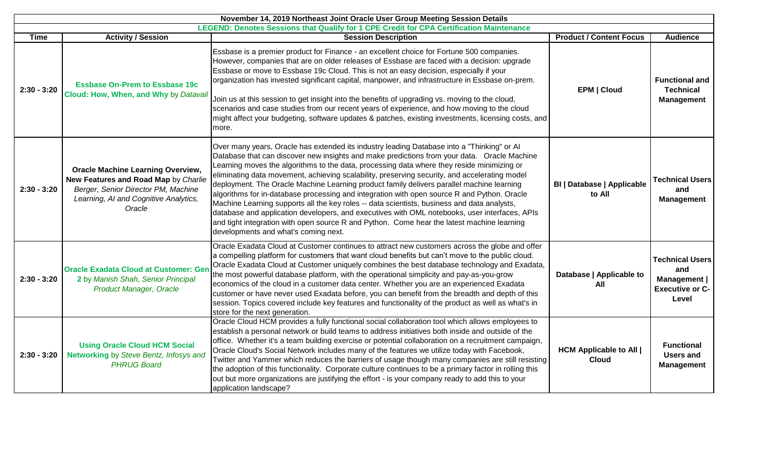| November 14, 2019 Northeast Joint Oracle User Group Meeting Session Details |                                                                                                                                                                            |                                                                                                                                                                                                                                                                                                                                                                                                                                                                                                                                                                                                                                                                                                                                                                                                                                                                                                                            |                                                |                                                                                  |  |
|-----------------------------------------------------------------------------|----------------------------------------------------------------------------------------------------------------------------------------------------------------------------|----------------------------------------------------------------------------------------------------------------------------------------------------------------------------------------------------------------------------------------------------------------------------------------------------------------------------------------------------------------------------------------------------------------------------------------------------------------------------------------------------------------------------------------------------------------------------------------------------------------------------------------------------------------------------------------------------------------------------------------------------------------------------------------------------------------------------------------------------------------------------------------------------------------------------|------------------------------------------------|----------------------------------------------------------------------------------|--|
|                                                                             | LEGEND: Denotes Sessions that Qualify for 1 CPE Credit for CPA Certification Maintenance                                                                                   |                                                                                                                                                                                                                                                                                                                                                                                                                                                                                                                                                                                                                                                                                                                                                                                                                                                                                                                            |                                                |                                                                                  |  |
| <b>Time</b>                                                                 | <b>Activity / Session</b>                                                                                                                                                  | <b>Session Description</b>                                                                                                                                                                                                                                                                                                                                                                                                                                                                                                                                                                                                                                                                                                                                                                                                                                                                                                 | <b>Product / Content Focus</b>                 | <b>Audience</b>                                                                  |  |
| $2:30 - 3:20$                                                               | <b>Essbase On-Prem to Essbase 19c</b><br>Cloud: How, When, and Why by Datavail                                                                                             | Essbase is a premier product for Finance - an excellent choice for Fortune 500 companies.<br>However, companies that are on older releases of Essbase are faced with a decision: upgrade<br>Essbase or move to Essbase 19c Cloud. This is not an easy decision, especially if your<br>organization has invested significant capital, manpower, and infrastructure in Essbase on-prem.<br>Join us at this session to get insight into the benefits of upgrading vs. moving to the cloud,<br>scenarios and case studies from our recent years of experience, and how moving to the cloud<br>might affect your budgeting, software updates & patches, existing investments, licensing costs, and<br>more.                                                                                                                                                                                                                     | <b>EPM   Cloud</b>                             | <b>Functional and</b><br><b>Technical</b><br><b>Management</b>                   |  |
| $2:30 - 3:20$                                                               | <b>Oracle Machine Learning Overview,</b><br>New Features and Road Map by Charlie<br>Berger, Senior Director PM, Machine<br>Learning, AI and Cognitive Analytics,<br>Oracle | Over many years, Oracle has extended its industry leading Database into a "Thinking" or Al<br>Database that can discover new insights and make predictions from your data. Oracle Machine<br>Learning moves the algorithms to the data, processing data where they reside minimizing or<br>eliminating data movement, achieving scalability, preserving security, and accelerating model<br>deployment. The Oracle Machine Learning product family delivers parallel machine learning<br>algorithms for in-database processing and integration with open source R and Python. Oracle<br>Machine Learning supports all the key roles -- data scientists, business and data analysts,<br>database and application developers, and executives with OML notebooks, user interfaces, APIs<br>and tight integration with open source R and Python. Come hear the latest machine learning<br>developments and what's coming next. | <b>BI   Database   Applicable</b><br>to All    | <b>Technical Users</b><br>and<br><b>Management</b>                               |  |
| $2:30 - 3:20$                                                               | <b>Oracle Exadata Cloud at Customer: Ger</b><br>2 by Manish Shah, Senior Principal<br><b>Product Manager, Oracle</b>                                                       | Oracle Exadata Cloud at Customer continues to attract new customers across the globe and offer<br>a compelling platform for customers that want cloud benefits but can't move to the public cloud.<br>Oracle Exadata Cloud at Customer uniquely combines the best database technology and Exadata,<br>the most powerful database platform, with the operational simplicity and pay-as-you-grow<br>economics of the cloud in a customer data center. Whether you are an experienced Exadata<br>customer or have never used Exadata before, you can benefit from the breadth and depth of this<br>session. Topics covered include key features and functionality of the product as well as what's in<br>store for the next generation.                                                                                                                                                                                       | Database   Applicable to<br>All                | <b>Technical Users</b><br>and<br>Management  <br><b>Executive or C-</b><br>Level |  |
| $2:30 - 3:20$                                                               | <b>Using Oracle Cloud HCM Social</b><br>Networking by Steve Bentz, Infosys and<br><b>PHRUG Board</b>                                                                       | Oracle Cloud HCM provides a fully functional social collaboration tool which allows employees to<br>establish a personal network or build teams to address initiatives both inside and outside of the<br>office. Whether it's a team building exercise or potential collaboration on a recruitment campaign,<br>Oracle Cloud's Social Network includes many of the features we utilize today with Facebook,<br>Twitter and Yammer which reduces the barriers of usage though many companies are still resisting<br>the adoption of this functionality. Corporate culture continues to be a primary factor in rolling this<br>out but more organizations are justifying the effort - is your company ready to add this to your<br>application landscape?                                                                                                                                                                    | <b>HCM Applicable to All  </b><br><b>Cloud</b> | <b>Functional</b><br><b>Users and</b><br><b>Management</b>                       |  |